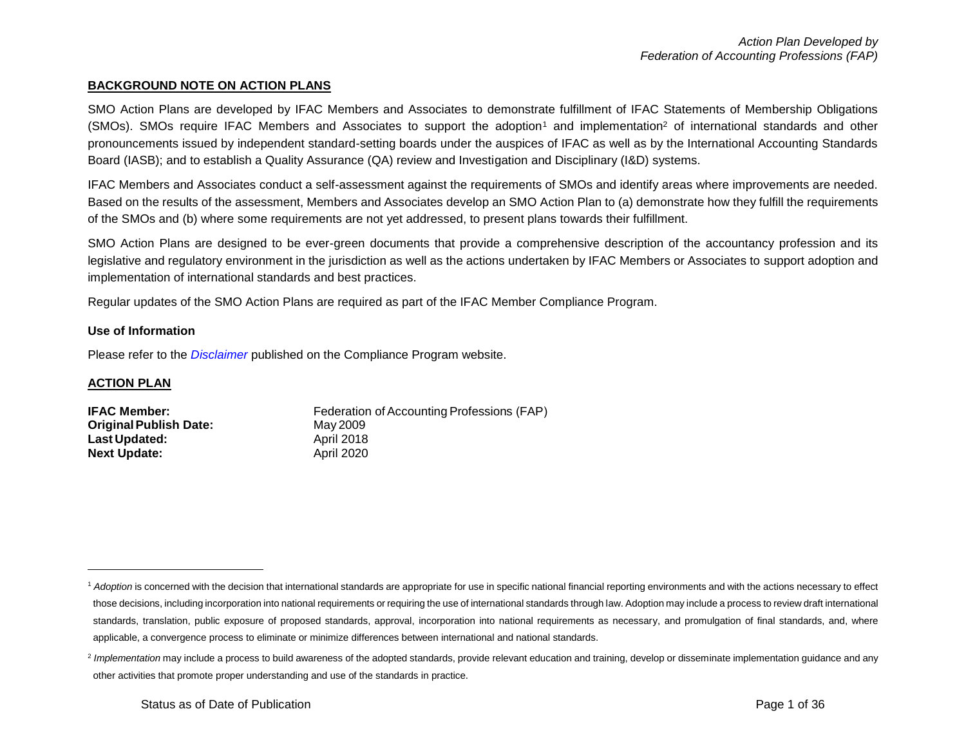#### **BACKGROUND NOTE ON ACTION PLANS**

SMO Action Plans are developed by IFAC Members and Associates to demonstrate fulfillment of IFAC Statements of Membership Obligations  $(SMOs)$ . SMOs require IFAC Members and Associates to support the adoption<sup>1</sup> and implementation<sup>2</sup> of international standards and other pronouncements issued by independent standard-setting boards under the auspices of IFAC as well as by the International Accounting Standards Board (IASB); and to establish a Quality Assurance (QA) review and Investigation and Disciplinary (I&D) systems.

IFAC Members and Associates conduct a self-assessment against the requirements of SMOs and identify areas where improvements are needed. Based on the results of the assessment, Members and Associates develop an SMO Action Plan to (a) demonstrate how they fulfill the requirements of the SMOs and (b) where some requirements are not yet addressed, to present plans towards their fulfillment.

SMO Action Plans are designed to be ever-green documents that provide a comprehensive description of the accountancy profession and its legislative and regulatory environment in the jurisdiction as well as the actions undertaken by IFAC Members or Associates to support adoption and implementation of international standards and best practices.

Regular updates of the SMO Action Plans are required as part of the IFAC Member Compliance Program.

#### **Use of Information**

Please refer to the *[Disclaimer](http://www.ifac.org/about-ifac/membership/members/disclaimer)* published on the Compliance Program website.

#### **ACTION PLAN**

 $\overline{a}$ 

| <b>IFAC Member:</b>           | Federation of Accounting Professions (FAP) |
|-------------------------------|--------------------------------------------|
| <b>Original Publish Date:</b> | May 2009                                   |
| <b>Last Updated:</b>          | April 2018                                 |
| <b>Next Update:</b>           | <b>April 2020</b>                          |

<sup>&</sup>lt;sup>1</sup> Adoption is concerned with the decision that international standards are appropriate for use in specific national financial reporting environments and with the actions necessary to effect those decisions, including incorporation into national requirements or requiring the use of international standards through law. Adoption may include a process to review draft international standards, translation, public exposure of proposed standards, approval, incorporation into national requirements as necessary, and promulgation of final standards, and, where applicable, a convergence process to eliminate or minimize differences between international and national standards.

<sup>&</sup>lt;sup>2</sup> Implementation may include a process to build awareness of the adopted standards, provide relevant education and training, develop or disseminate implementation guidance and any other activities that promote proper understanding and use of the standards in practice.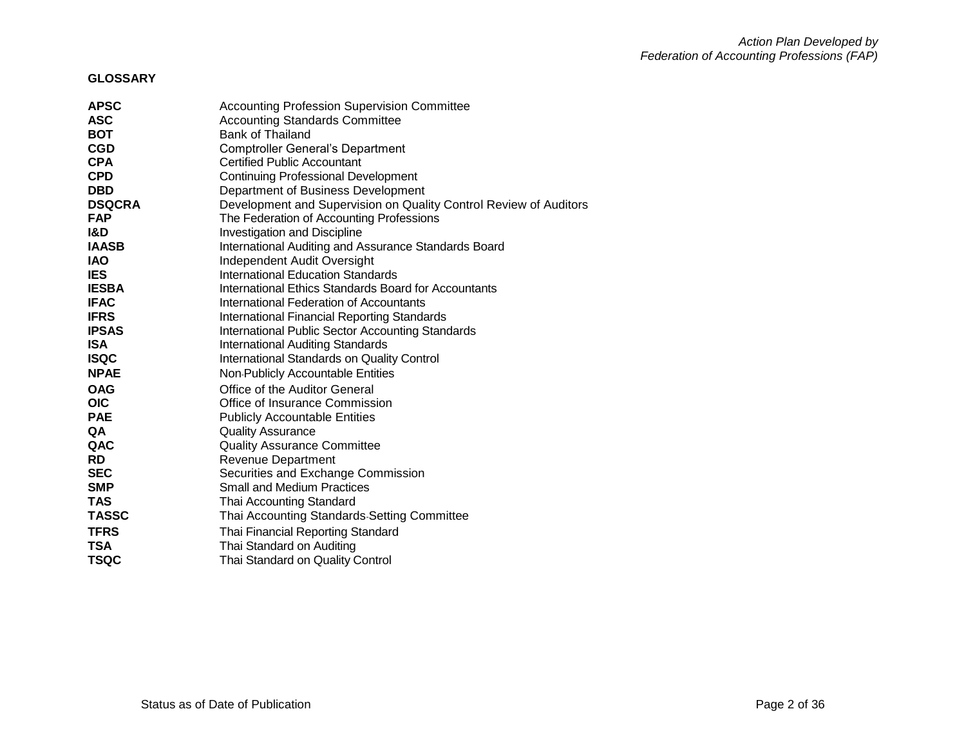#### **GLOSSARY**

| <b>APSC</b>   | <b>Accounting Profession Supervision Committee</b>                |
|---------------|-------------------------------------------------------------------|
| <b>ASC</b>    | <b>Accounting Standards Committee</b>                             |
| <b>BOT</b>    | Bank of Thailand                                                  |
| <b>CGD</b>    | <b>Comptroller General's Department</b>                           |
| <b>CPA</b>    | <b>Certified Public Accountant</b>                                |
| <b>CPD</b>    | <b>Continuing Professional Development</b>                        |
| <b>DBD</b>    | Department of Business Development                                |
| <b>DSQCRA</b> | Development and Supervision on Quality Control Review of Auditors |
| <b>FAP</b>    | The Federation of Accounting Professions                          |
| I&D           | Investigation and Discipline                                      |
| <b>IAASB</b>  | International Auditing and Assurance Standards Board              |
| <b>IAO</b>    | Independent Audit Oversight                                       |
| <b>IES</b>    | <b>International Education Standards</b>                          |
| <b>IESBA</b>  | International Ethics Standards Board for Accountants              |
| <b>IFAC</b>   | International Federation of Accountants                           |
| <b>IFRS</b>   | <b>International Financial Reporting Standards</b>                |
| <b>IPSAS</b>  | <b>International Public Sector Accounting Standards</b>           |
| <b>ISA</b>    | <b>International Auditing Standards</b>                           |
| <b>ISQC</b>   | International Standards on Quality Control                        |
| <b>NPAE</b>   | Non-Publicly Accountable Entities                                 |
| <b>OAG</b>    | Office of the Auditor General                                     |
| <b>OIC</b>    | Office of Insurance Commission                                    |
| <b>PAE</b>    | <b>Publicly Accountable Entities</b>                              |
| QA            | <b>Quality Assurance</b>                                          |
| QAC           | <b>Quality Assurance Committee</b>                                |
| <b>RD</b>     | <b>Revenue Department</b>                                         |
| <b>SEC</b>    | Securities and Exchange Commission                                |
| <b>SMP</b>    | <b>Small and Medium Practices</b>                                 |
| <b>TAS</b>    | Thai Accounting Standard                                          |
| <b>TASSC</b>  | Thai Accounting Standards-Setting Committee                       |
| <b>TFRS</b>   | Thai Financial Reporting Standard                                 |
| TSA           | Thai Standard on Auditing                                         |
| TSQC          | Thai Standard on Quality Control                                  |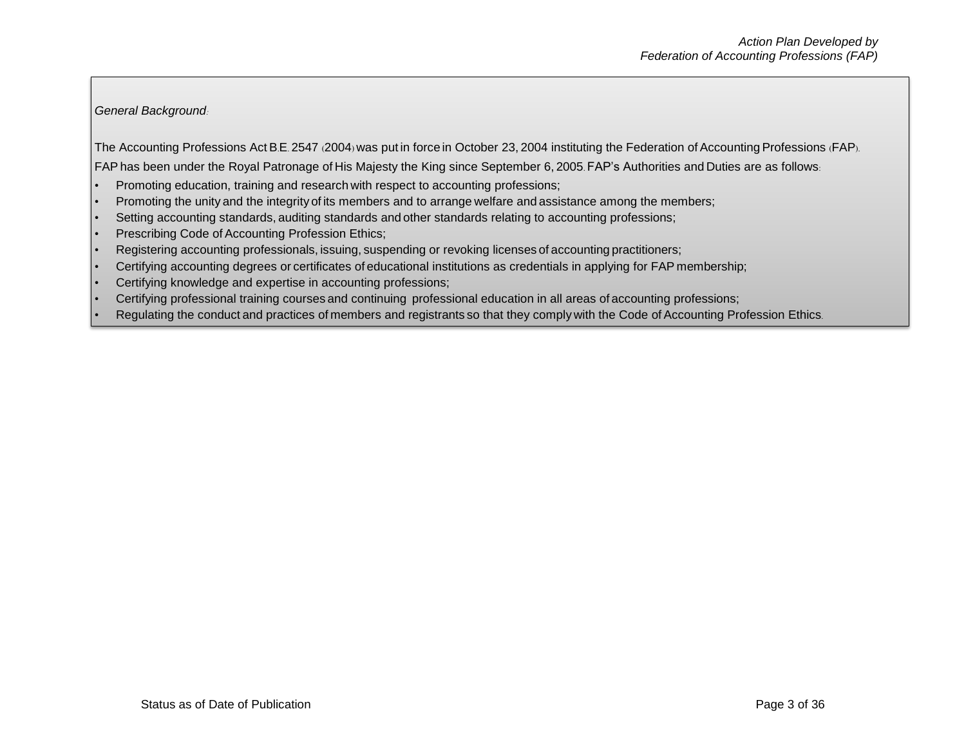#### *General Background:*

The Accounting Professions Act B.E. 2547 (2004) was put in force in October 23, 2004 instituting the Federation of Accounting Professions (FAP).

FAPhas been under the Royal Patronage of His Majesty the King since September 6, 2005. FAP's Authorities and Duties are as follows:

- Promoting education, training and research with respect to accounting professions;
- Promoting the unity and the integrity of its members and to arrange welfare and assistance among the members;
- Setting accounting standards, auditing standards and other standards relating to accounting professions;
- Prescribing Code of Accounting Profession Ethics;
- Registering accounting professionals, issuing, suspending or revoking licenses of accounting practitioners;
- Certifying accounting degrees or certificates of educational institutions as credentials in applying for FAP membership;
- Certifying knowledge and expertise in accounting professions;
- Certifying professional training courses and continuing professional education in all areas of accounting professions;
- Regulating the conduct and practices of members and registrants so that they comply with the Code of Accounting Profession Ethics.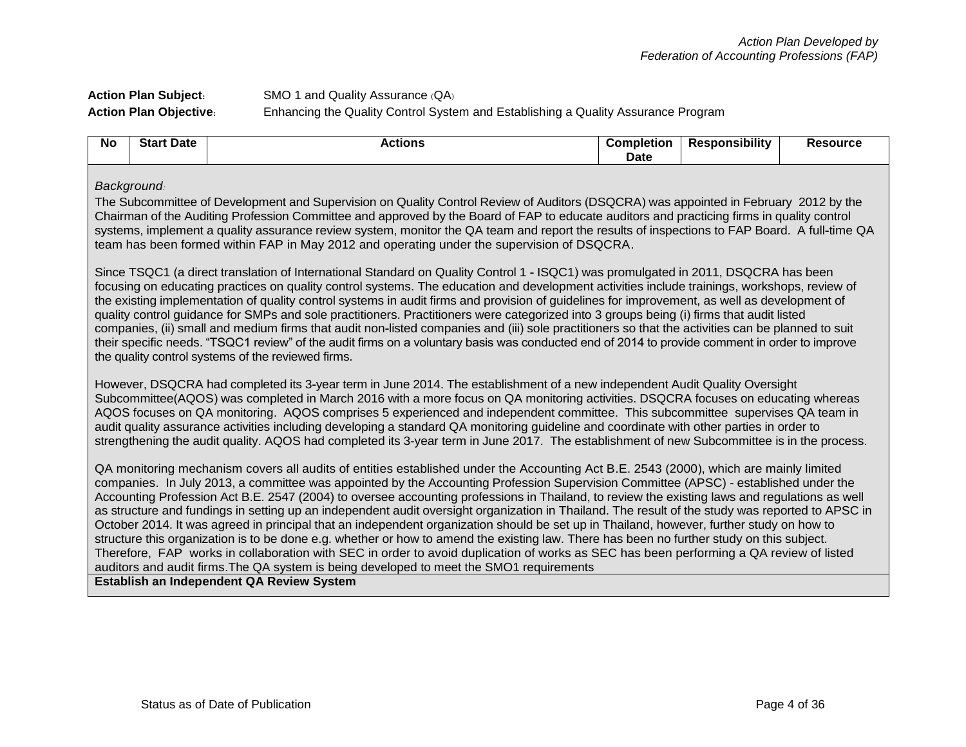## **Action Plan Subject:** SMO 1 and Quality Assurance (QA) **Action Plan Objective:** Enhancing the Quality Control System and Establishing a Quality Assurance Program

| <b>Nc</b> | <b>Date</b><br><b>Start</b> | Actions | Completion | .<br><b>Responsibility</b> | 'esource |
|-----------|-----------------------------|---------|------------|----------------------------|----------|
|           |                             |         | Date       |                            |          |

#### *Background:*

The Subcommittee of Development and Supervision on Quality Control Review of Auditors (DSQCRA) was appointed in February 2012 by the Chairman of the Auditing Profession Committee and approved by the Board of FAP to educate auditors and practicing firms in quality control systems, implement a quality assurance review system, monitor the QA team and report the results of inspections to FAP Board. A full-time QA team has been formed within FAP in May 2012 and operating under the supervision of DSQCRA.

Since TSQC1 (a direct translation of International Standard on Quality Control 1 - ISQC1) was promulgated in 2011, DSQCRA has been focusing on educating practices on quality control systems. The education and development activities include trainings, workshops, review of the existing implementation of quality control systems in audit firms and provision of guidelines for improvement, as well as development of quality control guidance for SMPs and sole practitioners. Practitioners were categorized into 3 groups being (i) firms that audit listed companies, (ii) small and medium firms that audit non-listed companies and (iii) sole practitioners so that the activities can be planned to suit their specific needs. "TSQC1 review" of the audit firms on a voluntary basis was conducted end of 2014 to provide comment in order to improve the quality control systems of the reviewed firms.

However, DSQCRA had completed its 3-year term in June 2014. The establishment of a new independent Audit Quality Oversight Subcommittee(AQOS) was completed in March 2016 with a more focus on QA monitoring activities. DSQCRA focuses on educating whereas AQOS focuses on QA monitoring. AQOS comprises 5 experienced and independent committee. This subcommittee supervises QA team in audit quality assurance activities including developing a standard QA monitoring guideline and coordinate with other parties in order to strengthening the audit quality. AQOS had completed its 3-year term in June 2017. The establishment of new Subcommittee is in the process.

QA monitoring mechanism covers all audits of entities established under the Accounting Act B.E. 2543 (2000), which are mainly limited companies. In July 2013, a committee was appointed by the Accounting Profession Supervision Committee (APSC) - established under the Accounting Profession Act B.E. 2547 (2004) to oversee accounting professions in Thailand, to review the existing laws and regulations as well as structure and fundings in setting up an independent audit oversight organization in Thailand. The result of the study was reported to APSC in October 2014. It was agreed in principal that an independent organization should be set up in Thailand, however, further study on how to structure this organization is to be done e.g. whether or how to amend the existing law. There has been no further study on this subject. Therefore, FAP works in collaboration with SEC in order to avoid duplication of works as SEC has been performing a QA review of listed auditors and audit firms.The QA system is being developed to meet the SMO1 requirements

**Establish an Independent QA Review System**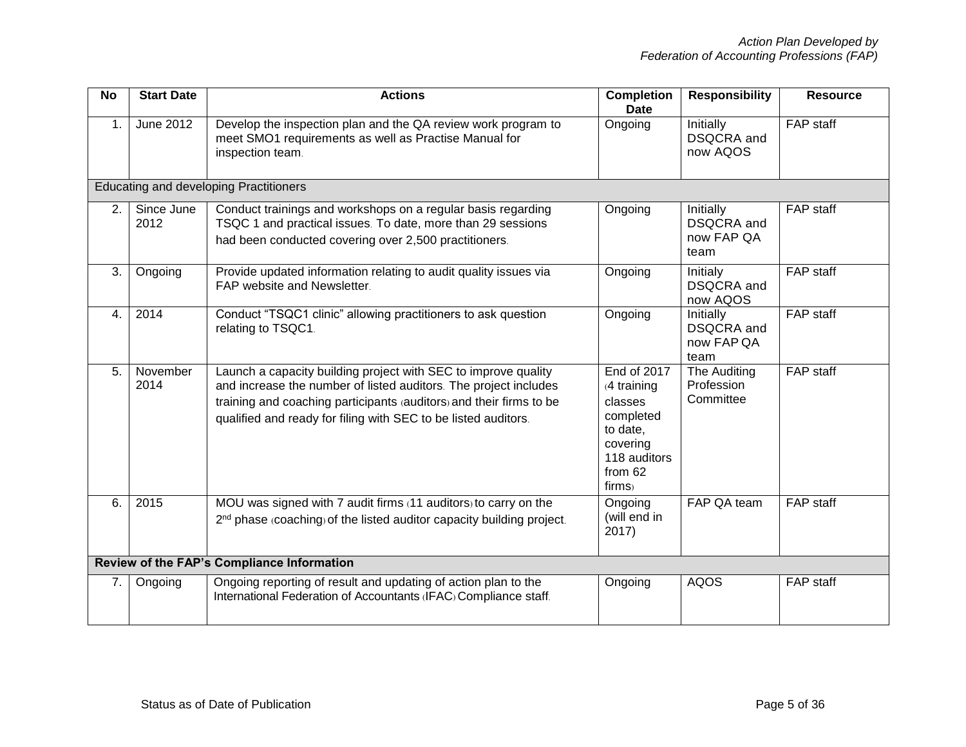| <b>No</b>      | <b>Start Date</b>  | <b>Actions</b>                                                                                                                                                                                                                                                              | <b>Completion</b><br><b>Date</b>                                                                                  | <b>Responsibility</b>                                | <b>Resource</b>  |
|----------------|--------------------|-----------------------------------------------------------------------------------------------------------------------------------------------------------------------------------------------------------------------------------------------------------------------------|-------------------------------------------------------------------------------------------------------------------|------------------------------------------------------|------------------|
| $\mathbf{1}$ . | June 2012          | Develop the inspection plan and the QA review work program to<br>meet SMO1 requirements as well as Practise Manual for<br>inspection team.                                                                                                                                  | Ongoing                                                                                                           | Initially<br>DSQCRA and<br>now AQOS                  | FAP staff        |
|                |                    | <b>Educating and developing Practitioners</b>                                                                                                                                                                                                                               |                                                                                                                   |                                                      |                  |
| 2.             | Since June<br>2012 | Conduct trainings and workshops on a regular basis regarding<br>TSQC 1 and practical issues. To date, more than 29 sessions<br>had been conducted covering over 2,500 practitioners.                                                                                        | Ongoing                                                                                                           | Initially<br><b>DSQCRA</b> and<br>now FAP QA<br>team | FAP staff        |
| 3.             | Ongoing            | Provide updated information relating to audit quality issues via<br>FAP website and Newsletter.                                                                                                                                                                             | Ongoing                                                                                                           | Initialy<br><b>DSQCRA</b> and<br>now AQOS            | FAP staff        |
| 4.             | 2014               | Conduct "TSQC1 clinic" allowing practitioners to ask question<br>relating to TSQC1.                                                                                                                                                                                         | Ongoing                                                                                                           | Initially<br><b>DSQCRA</b> and<br>now FAP QA<br>team | FAP staff        |
| 5.             | November<br>2014   | Launch a capacity building project with SEC to improve quality<br>and increase the number of listed auditors. The project includes<br>training and coaching participants (auditors) and their firms to be<br>qualified and ready for filing with SEC to be listed auditors. | End of 2017<br>$(4$ training<br>classes<br>completed<br>to date,<br>covering<br>118 auditors<br>from 62<br>firms) | The Auditing<br>Profession<br>Committee              | $FAP$ staff      |
| 6.             | 2015               | MOU was signed with 7 audit firms (11 auditors) to carry on the<br>2 <sup>nd</sup> phase (coaching) of the listed auditor capacity building project.                                                                                                                        | Ongoing<br>(will end in<br>2017)                                                                                  | FAP QA team                                          | <b>FAP</b> staff |
|                |                    | Review of the FAP's Compliance Information                                                                                                                                                                                                                                  |                                                                                                                   |                                                      |                  |
| 7.             | Ongoing            | Ongoing reporting of result and updating of action plan to the<br>International Federation of Accountants (IFAC) Compliance staff.                                                                                                                                          | Ongoing                                                                                                           | <b>AQOS</b>                                          | FAP staff        |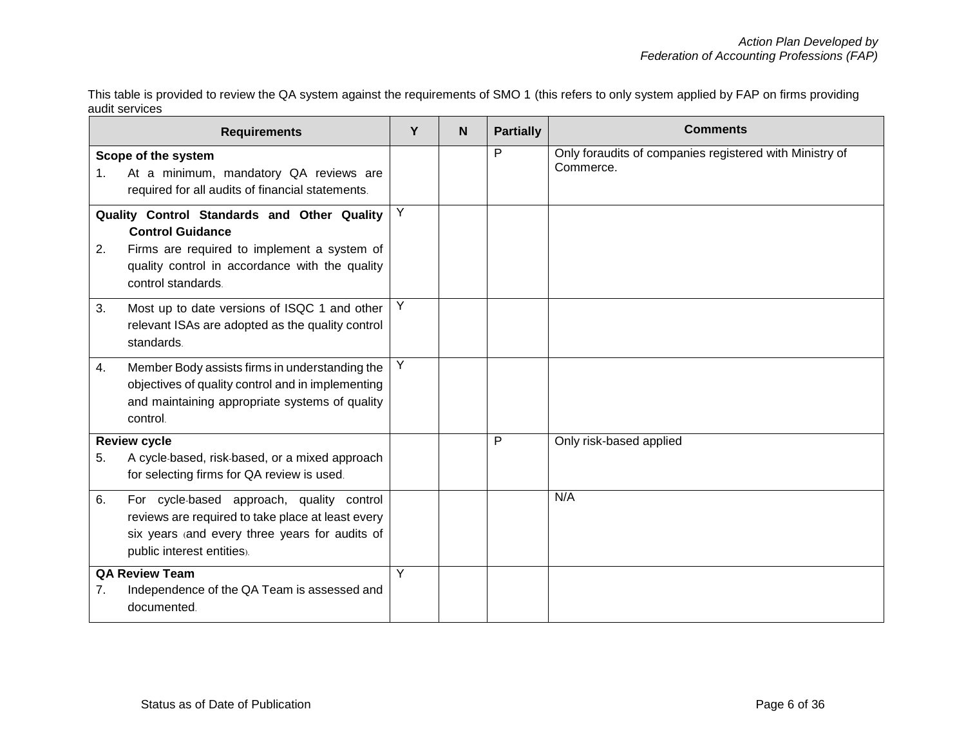This table is provided to review the QA system against the requirements of SMO 1 (this refers to only system applied by FAP on firms providing audit services

|                                                                                                                                                                                                     | <b>Requirements</b>                                                                                                                                                            | Y | N | <b>Partially</b> | <b>Comments</b>                                                      |
|-----------------------------------------------------------------------------------------------------------------------------------------------------------------------------------------------------|--------------------------------------------------------------------------------------------------------------------------------------------------------------------------------|---|---|------------------|----------------------------------------------------------------------|
| 1.                                                                                                                                                                                                  | Scope of the system<br>At a minimum, mandatory QA reviews are<br>required for all audits of financial statements.                                                              |   |   | P                | Only foraudits of companies registered with Ministry of<br>Commerce. |
| Quality Control Standards and Other Quality<br><b>Control Guidance</b><br>Firms are required to implement a system of<br>2.<br>quality control in accordance with the quality<br>control standards. |                                                                                                                                                                                | Y |   |                  |                                                                      |
| 3.                                                                                                                                                                                                  | Most up to date versions of ISQC 1 and other<br>relevant ISAs are adopted as the quality control<br>standards.                                                                 | Y |   |                  |                                                                      |
| 4.                                                                                                                                                                                                  | Member Body assists firms in understanding the<br>objectives of quality control and in implementing<br>and maintaining appropriate systems of quality<br>control.              | Y |   |                  |                                                                      |
| 5.                                                                                                                                                                                                  | <b>Review cycle</b><br>A cycle-based, risk-based, or a mixed approach<br>for selecting firms for QA review is used.                                                            |   |   | P                | Only risk-based applied                                              |
| 6.                                                                                                                                                                                                  | For cycle-based approach, quality control<br>reviews are required to take place at least every<br>six years (and every three years for audits of<br>public interest entities). |   |   |                  | N/A                                                                  |
| <b>QA Review Team</b><br>Independence of the QA Team is assessed and<br>7.<br>documented.                                                                                                           |                                                                                                                                                                                | Y |   |                  |                                                                      |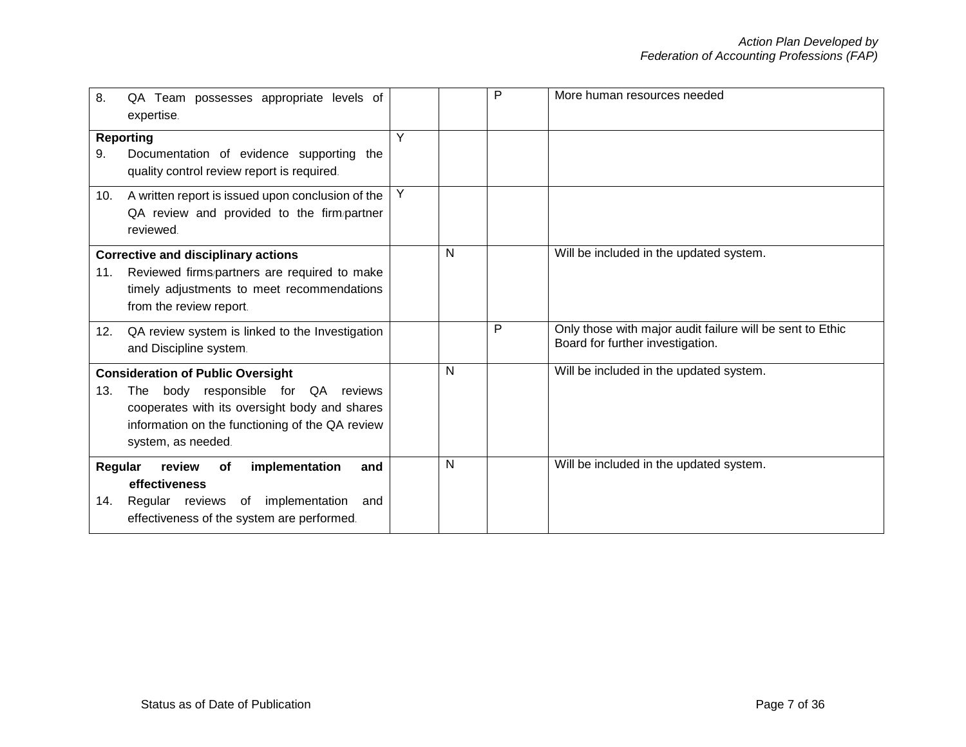| 8.                                                                                           | QA Team possesses appropriate levels of<br>expertise.                                                                                                                                                        |   |   | P | More human resources needed                                                                   |
|----------------------------------------------------------------------------------------------|--------------------------------------------------------------------------------------------------------------------------------------------------------------------------------------------------------------|---|---|---|-----------------------------------------------------------------------------------------------|
|                                                                                              | <b>Reporting</b>                                                                                                                                                                                             | Y |   |   |                                                                                               |
| Documentation of evidence supporting the<br>9.<br>quality control review report is required. |                                                                                                                                                                                                              |   |   |   |                                                                                               |
| 10.                                                                                          | A written report is issued upon conclusion of the<br>QA review and provided to the firm/partner<br>reviewed.                                                                                                 | Y |   |   |                                                                                               |
| 11.                                                                                          | <b>Corrective and disciplinary actions</b><br>Reviewed firms/partners are required to make<br>timely adjustments to meet recommendations<br>from the review report.                                          |   | N |   | Will be included in the updated system.                                                       |
| 12.                                                                                          | QA review system is linked to the Investigation<br>and Discipline system.                                                                                                                                    |   |   | P | Only those with major audit failure will be sent to Ethic<br>Board for further investigation. |
| 13.                                                                                          | <b>Consideration of Public Oversight</b><br>body responsible for QA reviews<br>The<br>cooperates with its oversight body and shares<br>information on the functioning of the QA review<br>system, as needed. |   | N |   | Will be included in the updated system.                                                       |
| Regular<br>14.                                                                               | review<br>implementation<br>of<br>and<br>effectiveness<br>Regular reviews of implementation<br>and<br>effectiveness of the system are performed.                                                             |   | N |   | Will be included in the updated system.                                                       |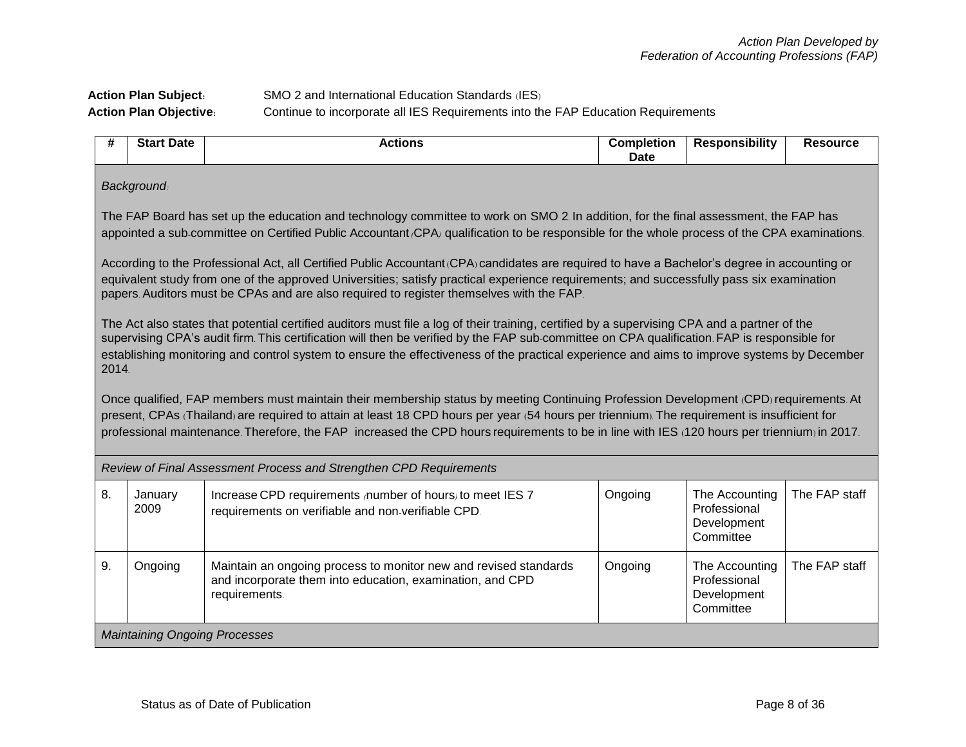## Action Plan Subject: SMO 2 and International Education Standards (IES) **Action Plan Objective:** Continue to incorporate all IES Requirements into the FAP Education Requirements

| #  | <b>Start Date</b>                                                                                                                                                                                                                                                                                                                                                                                                                                   | <b>Actions</b>                                                                                                                                                                                                                                                                                                                                                                                                                       | <b>Completion</b><br><b>Date</b> | <b>Responsibility</b>                                      | <b>Resource</b> |  |  |
|----|-----------------------------------------------------------------------------------------------------------------------------------------------------------------------------------------------------------------------------------------------------------------------------------------------------------------------------------------------------------------------------------------------------------------------------------------------------|--------------------------------------------------------------------------------------------------------------------------------------------------------------------------------------------------------------------------------------------------------------------------------------------------------------------------------------------------------------------------------------------------------------------------------------|----------------------------------|------------------------------------------------------------|-----------------|--|--|
|    | <b>Background</b>                                                                                                                                                                                                                                                                                                                                                                                                                                   |                                                                                                                                                                                                                                                                                                                                                                                                                                      |                                  |                                                            |                 |  |  |
|    | The FAP Board has set up the education and technology committee to work on SMO 2. In addition, for the final assessment, the FAP has<br>appointed a sub-committee on Certified Public Accountant (CPA) qualification to be responsible for the whole process of the CPA examinations.                                                                                                                                                               |                                                                                                                                                                                                                                                                                                                                                                                                                                      |                                  |                                                            |                 |  |  |
|    | According to the Professional Act, all Certified Public Accountant (CPA) candidates are required to have a Bachelor's degree in accounting or<br>equivalent study from one of the approved Universities; satisfy practical experience requirements; and successfully pass six examination<br>papers. Auditors must be CPAs and are also required to register themselves with the FAP.                                                               |                                                                                                                                                                                                                                                                                                                                                                                                                                      |                                  |                                                            |                 |  |  |
|    | The Act also states that potential certified auditors must file a log of their training, certified by a supervising CPA and a partner of the<br>supervising CPA's audit firm. This certification will then be verified by the FAP sub-committee on CPA qualification. FAP is responsible for<br>establishing monitoring and control system to ensure the effectiveness of the practical experience and aims to improve systems by December<br>2014. |                                                                                                                                                                                                                                                                                                                                                                                                                                      |                                  |                                                            |                 |  |  |
|    |                                                                                                                                                                                                                                                                                                                                                                                                                                                     | Once qualified, FAP members must maintain their membership status by meeting Continuing Profession Development (CPD) requirements. At<br>present, CPAs (Thailand) are required to attain at least 18 CPD hours per year (54 hours per triennium). The requirement is insufficient for<br>professional maintenance. Therefore, the FAP increased the CPD hours requirements to be in line with IES (120 hours per triennium) in 2017. |                                  |                                                            |                 |  |  |
|    |                                                                                                                                                                                                                                                                                                                                                                                                                                                     | Review of Final Assessment Process and Strengthen CPD Requirements                                                                                                                                                                                                                                                                                                                                                                   |                                  |                                                            |                 |  |  |
| 8. | January<br>2009                                                                                                                                                                                                                                                                                                                                                                                                                                     | Increase CPD requirements number of hours) to meet IES 7<br>requirements on verifiable and non-verifiable CPD.                                                                                                                                                                                                                                                                                                                       | Ongoing                          | The Accounting<br>Professional<br>Development<br>Committee | The FAP staff   |  |  |
| 9. | Ongoing                                                                                                                                                                                                                                                                                                                                                                                                                                             | Maintain an ongoing process to monitor new and revised standards<br>and incorporate them into education, examination, and CPD<br>requirements.                                                                                                                                                                                                                                                                                       | Ongoing                          | The Accounting<br>Professional<br>Development<br>Committee | The FAP staff   |  |  |
|    | <b>Maintaining Ongoing Processes</b>                                                                                                                                                                                                                                                                                                                                                                                                                |                                                                                                                                                                                                                                                                                                                                                                                                                                      |                                  |                                                            |                 |  |  |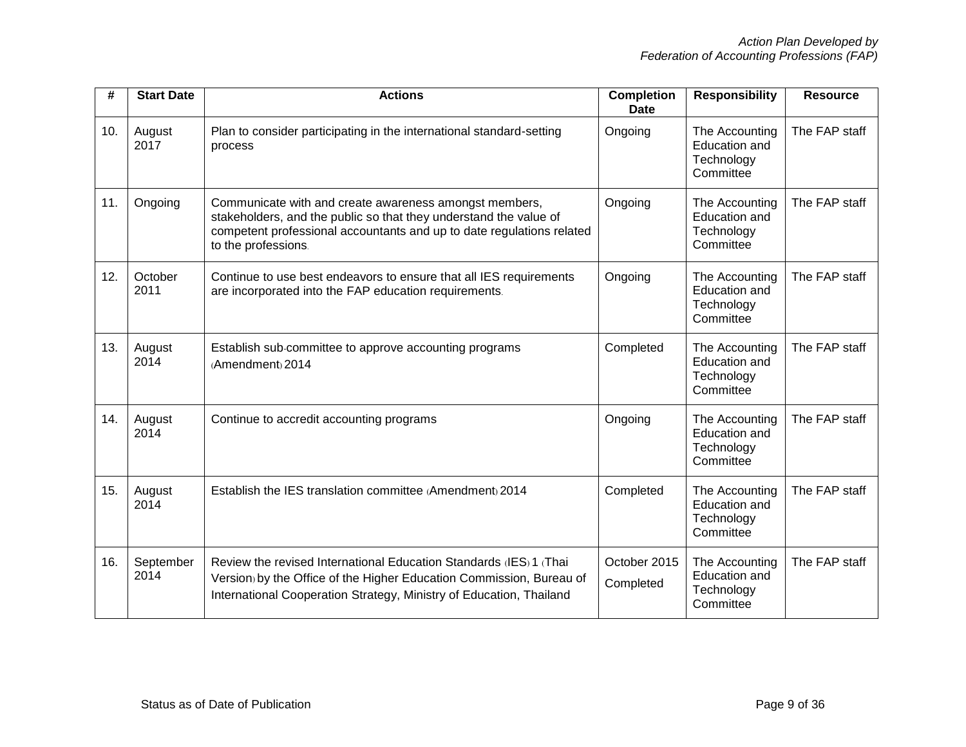| #   | <b>Start Date</b> | <b>Actions</b>                                                                                                                                                                                                              | <b>Completion</b><br><b>Date</b> | <b>Responsibility</b>                                             | <b>Resource</b> |
|-----|-------------------|-----------------------------------------------------------------------------------------------------------------------------------------------------------------------------------------------------------------------------|----------------------------------|-------------------------------------------------------------------|-----------------|
| 10. | August<br>2017    | Plan to consider participating in the international standard-setting<br>process                                                                                                                                             | Ongoing                          | The Accounting<br>Education and<br>Technology<br>Committee        | The FAP staff   |
| 11. | Ongoing           | Communicate with and create awareness amongst members,<br>stakeholders, and the public so that they understand the value of<br>competent professional accountants and up to date regulations related<br>to the professions. | Ongoing                          | The Accounting<br><b>Education and</b><br>Technology<br>Committee | The FAP staff   |
| 12. | October<br>2011   | Continue to use best endeavors to ensure that all IES requirements<br>are incorporated into the FAP education requirements.                                                                                                 | Ongoing                          | The Accounting<br><b>Education and</b><br>Technology<br>Committee | The FAP staff   |
| 13. | August<br>2014    | Establish sub-committee to approve accounting programs<br>(Amendment) 2014                                                                                                                                                  | Completed                        | The Accounting<br><b>Education and</b><br>Technology<br>Committee | The FAP staff   |
| 14. | August<br>2014    | Continue to accredit accounting programs                                                                                                                                                                                    | Ongoing                          | The Accounting<br><b>Education and</b><br>Technology<br>Committee | The FAP staff   |
| 15. | August<br>2014    | Establish the IES translation committee (Amendment) 2014                                                                                                                                                                    | Completed                        | The Accounting<br><b>Education and</b><br>Technology<br>Committee | The FAP staff   |
| 16. | September<br>2014 | Review the revised International Education Standards (IES) 1 (Thai<br>Version) by the Office of the Higher Education Commission, Bureau of<br>International Cooperation Strategy, Ministry of Education, Thailand           | October 2015<br>Completed        | The Accounting<br><b>Education and</b><br>Technology<br>Committee | The FAP staff   |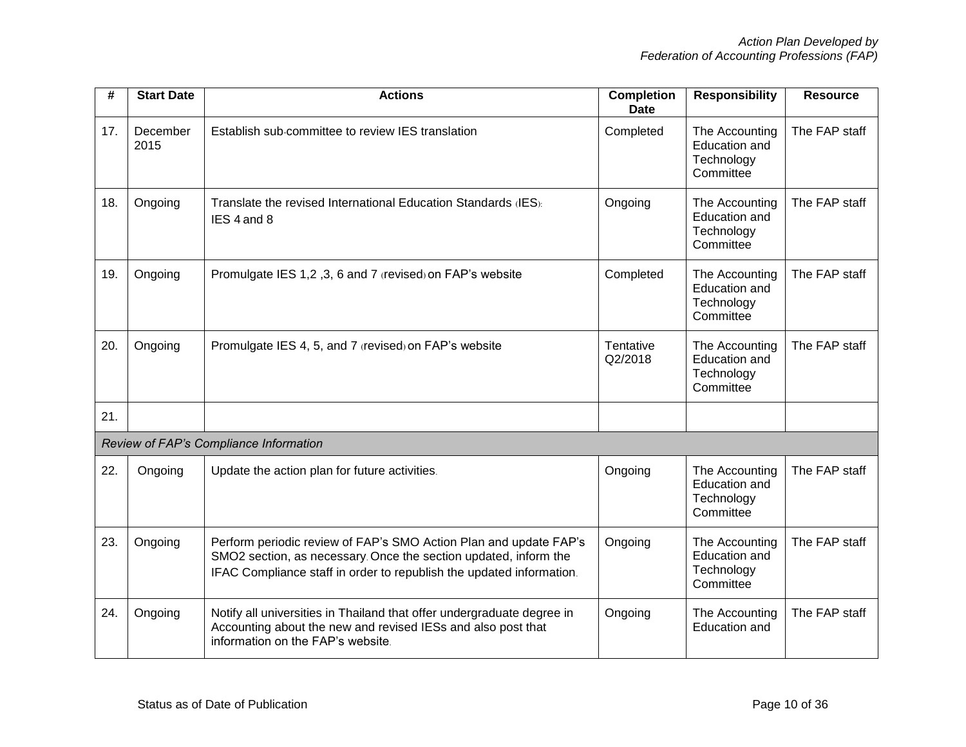| #   | <b>Start Date</b> | <b>Actions</b>                                                                                                                                                                                                | <b>Completion</b><br><b>Date</b> | <b>Responsibility</b>                                             | <b>Resource</b> |
|-----|-------------------|---------------------------------------------------------------------------------------------------------------------------------------------------------------------------------------------------------------|----------------------------------|-------------------------------------------------------------------|-----------------|
| 17. | December<br>2015  | Establish sub-committee to review IES translation                                                                                                                                                             | Completed                        | The Accounting<br>Education and<br>Technology<br>Committee        | The FAP staff   |
| 18. | Ongoing           | Translate the revised International Education Standards (IES):<br>IES 4 and 8                                                                                                                                 | Ongoing                          | The Accounting<br><b>Education and</b><br>Technology<br>Committee | The FAP staff   |
| 19. | Ongoing           | Promulgate IES 1,2, 3, 6 and 7 (revised) on FAP's website                                                                                                                                                     | Completed                        | The Accounting<br><b>Education and</b><br>Technology<br>Committee | The FAP staff   |
| 20. | Ongoing           | Promulgate IES 4, 5, and 7 (revised) on FAP's website                                                                                                                                                         | Tentative<br>Q2/2018             | The Accounting<br>Education and<br>Technology<br>Committee        | The FAP staff   |
| 21. |                   |                                                                                                                                                                                                               |                                  |                                                                   |                 |
|     |                   | Review of FAP's Compliance Information                                                                                                                                                                        |                                  |                                                                   |                 |
| 22. | Ongoing           | Update the action plan for future activities.                                                                                                                                                                 | Ongoing                          | The Accounting<br><b>Education and</b><br>Technology<br>Committee | The FAP staff   |
| 23. | Ongoing           | Perform periodic review of FAP's SMO Action Plan and update FAP's<br>SMO2 section, as necessary. Once the section updated, inform the<br>IFAC Compliance staff in order to republish the updated information. | Ongoing                          | The Accounting<br><b>Education and</b><br>Technology<br>Committee | The FAP staff   |
| 24. | Ongoing           | Notify all universities in Thailand that offer undergraduate degree in<br>Accounting about the new and revised IESs and also post that<br>information on the FAP's website.                                   | Ongoing                          | The Accounting<br><b>Education and</b>                            | The FAP staff   |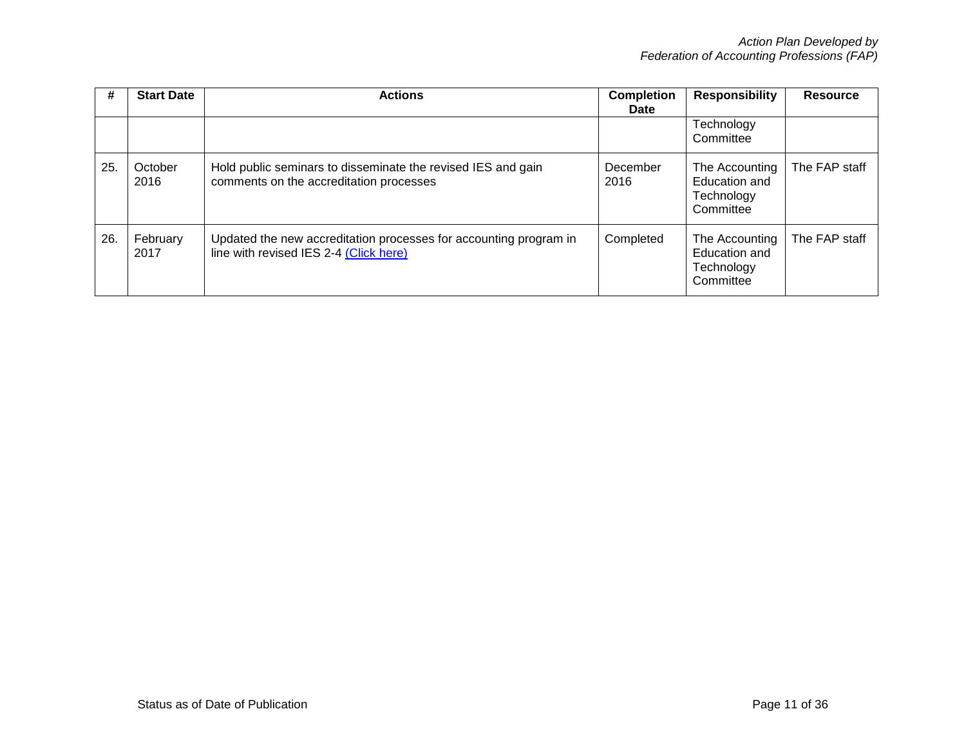| #   | <b>Start Date</b> | <b>Actions</b>                                                                                              | <b>Completion</b><br>Date | <b>Responsibility</b>                                             | <b>Resource</b> |
|-----|-------------------|-------------------------------------------------------------------------------------------------------------|---------------------------|-------------------------------------------------------------------|-----------------|
|     |                   |                                                                                                             |                           | Technology<br>Committee                                           |                 |
| 25. | October<br>2016   | Hold public seminars to disseminate the revised IES and gain<br>comments on the accreditation processes     | December<br>2016          | The Accounting<br><b>Education and</b><br>Technology<br>Committee | The FAP staff   |
| 26. | February<br>2017  | Updated the new accreditation processes for accounting program in<br>line with revised IES 2-4 (Click here) | Completed                 | The Accounting<br>Education and<br>Technology<br>Committee        | The FAP staff   |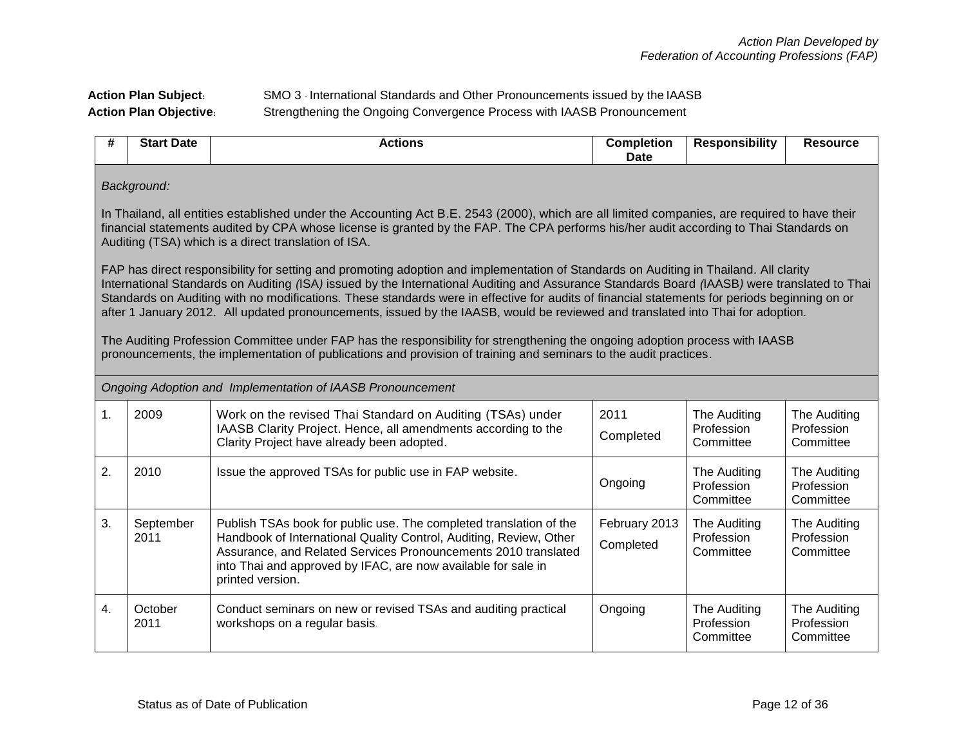## **Action Plan Subject:** SMO 3 - International Standards and Other Pronouncements issued by the IAASB **Action Plan Objective:** Strengthening the Ongoing Convergence Process with IAASB Pronouncement

| #  | <b>Start Date</b>                                                                                                                                                                                                                                                                                                                                                                                                                                                                                                                                                                                                                                                                                                                                                                                                              | <b>Actions</b>                                                                                                                                                                                                                                                                                  | <b>Completion</b><br><b>Date</b> | <b>Responsibility</b>                   | <b>Resource</b>                         |  |  |
|----|--------------------------------------------------------------------------------------------------------------------------------------------------------------------------------------------------------------------------------------------------------------------------------------------------------------------------------------------------------------------------------------------------------------------------------------------------------------------------------------------------------------------------------------------------------------------------------------------------------------------------------------------------------------------------------------------------------------------------------------------------------------------------------------------------------------------------------|-------------------------------------------------------------------------------------------------------------------------------------------------------------------------------------------------------------------------------------------------------------------------------------------------|----------------------------------|-----------------------------------------|-----------------------------------------|--|--|
|    | Background:                                                                                                                                                                                                                                                                                                                                                                                                                                                                                                                                                                                                                                                                                                                                                                                                                    |                                                                                                                                                                                                                                                                                                 |                                  |                                         |                                         |  |  |
|    | In Thailand, all entities established under the Accounting Act B.E. 2543 (2000), which are all limited companies, are required to have their<br>financial statements audited by CPA whose license is granted by the FAP. The CPA performs his/her audit according to Thai Standards on<br>Auditing (TSA) which is a direct translation of ISA.                                                                                                                                                                                                                                                                                                                                                                                                                                                                                 |                                                                                                                                                                                                                                                                                                 |                                  |                                         |                                         |  |  |
|    | FAP has direct responsibility for setting and promoting adoption and implementation of Standards on Auditing in Thailand. All clarity<br>International Standards on Auditing (ISA) issued by the International Auditing and Assurance Standards Board (IAASB) were translated to Thai<br>Standards on Auditing with no modifications. These standards were in effective for audits of financial statements for periods beginning on or<br>after 1 January 2012. All updated pronouncements, issued by the IAASB, would be reviewed and translated into Thai for adoption.<br>The Auditing Profession Committee under FAP has the responsibility for strengthening the ongoing adoption process with IAASB<br>pronouncements, the implementation of publications and provision of training and seminars to the audit practices. |                                                                                                                                                                                                                                                                                                 |                                  |                                         |                                         |  |  |
|    |                                                                                                                                                                                                                                                                                                                                                                                                                                                                                                                                                                                                                                                                                                                                                                                                                                | Ongoing Adoption and Implementation of IAASB Pronouncement                                                                                                                                                                                                                                      |                                  |                                         |                                         |  |  |
| 1. | 2009                                                                                                                                                                                                                                                                                                                                                                                                                                                                                                                                                                                                                                                                                                                                                                                                                           | Work on the revised Thai Standard on Auditing (TSAs) under<br>IAASB Clarity Project. Hence, all amendments according to the<br>Clarity Project have already been adopted.                                                                                                                       | 2011<br>Completed                | The Auditing<br>Profession<br>Committee | The Auditing<br>Profession<br>Committee |  |  |
| 2. | 2010                                                                                                                                                                                                                                                                                                                                                                                                                                                                                                                                                                                                                                                                                                                                                                                                                           | Issue the approved TSAs for public use in FAP website.                                                                                                                                                                                                                                          | Ongoing                          | The Auditing<br>Profession<br>Committee | The Auditing<br>Profession<br>Committee |  |  |
| 3. | September<br>2011                                                                                                                                                                                                                                                                                                                                                                                                                                                                                                                                                                                                                                                                                                                                                                                                              | Publish TSAs book for public use. The completed translation of the<br>Handbook of International Quality Control, Auditing, Review, Other<br>Assurance, and Related Services Pronouncements 2010 translated<br>into Thai and approved by IFAC, are now available for sale in<br>printed version. | February 2013<br>Completed       | The Auditing<br>Profession<br>Committee | The Auditing<br>Profession<br>Committee |  |  |
| 4. | October<br>2011                                                                                                                                                                                                                                                                                                                                                                                                                                                                                                                                                                                                                                                                                                                                                                                                                | Conduct seminars on new or revised TSAs and auditing practical<br>workshops on a regular basis.                                                                                                                                                                                                 | Ongoing                          | The Auditing<br>Profession<br>Committee | The Auditing<br>Profession<br>Committee |  |  |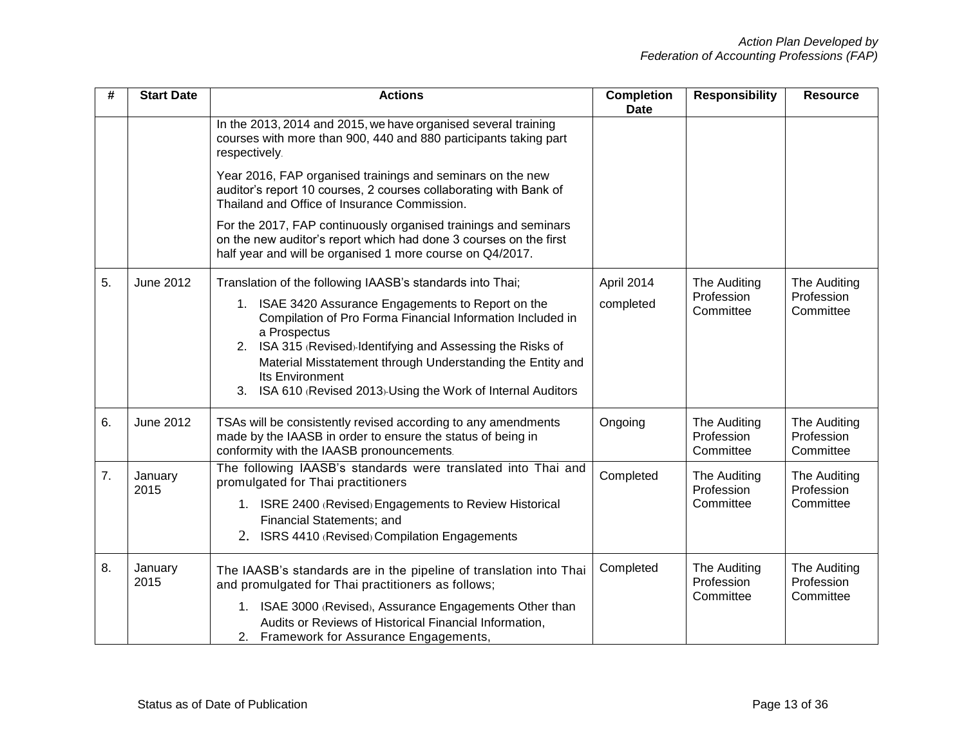| #  | <b>Start Date</b> | <b>Actions</b>                                                                                                                                                                                                                                                                                                                                        | <b>Completion</b><br><b>Date</b> | <b>Responsibility</b>                   | <b>Resource</b>                         |
|----|-------------------|-------------------------------------------------------------------------------------------------------------------------------------------------------------------------------------------------------------------------------------------------------------------------------------------------------------------------------------------------------|----------------------------------|-----------------------------------------|-----------------------------------------|
|    |                   | In the 2013, 2014 and 2015, we have organised several training<br>courses with more than 900, 440 and 880 participants taking part<br>respectively.                                                                                                                                                                                                   |                                  |                                         |                                         |
|    |                   | Year 2016, FAP organised trainings and seminars on the new<br>auditor's report 10 courses, 2 courses collaborating with Bank of<br>Thailand and Office of Insurance Commission.                                                                                                                                                                       |                                  |                                         |                                         |
|    |                   | For the 2017, FAP continuously organised trainings and seminars<br>on the new auditor's report which had done 3 courses on the first<br>half year and will be organised 1 more course on Q4/2017.                                                                                                                                                     |                                  |                                         |                                         |
| 5. | <b>June 2012</b>  | Translation of the following IAASB's standards into Thai;                                                                                                                                                                                                                                                                                             | April 2014                       | The Auditing<br>Profession<br>Committee | The Auditing                            |
|    |                   | 1. ISAE 3420 Assurance Engagements to Report on the<br>Compilation of Pro Forma Financial Information Included in<br>a Prospectus<br>2. ISA 315 (Revised)-Identifying and Assessing the Risks of<br>Material Misstatement through Understanding the Entity and<br>Its Environment<br>ISA 610 (Revised 2013)-Using the Work of Internal Auditors<br>3. | completed                        |                                         | Profession<br>Committee                 |
| 6. | June 2012         | TSAs will be consistently revised according to any amendments<br>made by the IAASB in order to ensure the status of being in<br>conformity with the IAASB pronouncements.                                                                                                                                                                             | Ongoing                          | The Auditing<br>Profession<br>Committee | The Auditing<br>Profession<br>Committee |
| 7. | January<br>2015   | The following IAASB's standards were translated into Thai and<br>promulgated for Thai practitioners<br>1. ISRE 2400 (Revised) Engagements to Review Historical<br>Financial Statements; and<br>2. ISRS 4410 (Revised) Compilation Engagements                                                                                                         | Completed                        | The Auditing<br>Profession<br>Committee | The Auditing<br>Profession<br>Committee |
| 8. | January<br>2015   | The IAASB's standards are in the pipeline of translation into Thai<br>and promulgated for Thai practitioners as follows;<br>1. ISAE 3000 (Revised), Assurance Engagements Other than<br>Audits or Reviews of Historical Financial Information,<br>2. Framework for Assurance Engagements,                                                             | Completed                        | The Auditing<br>Profession<br>Committee | The Auditing<br>Profession<br>Committee |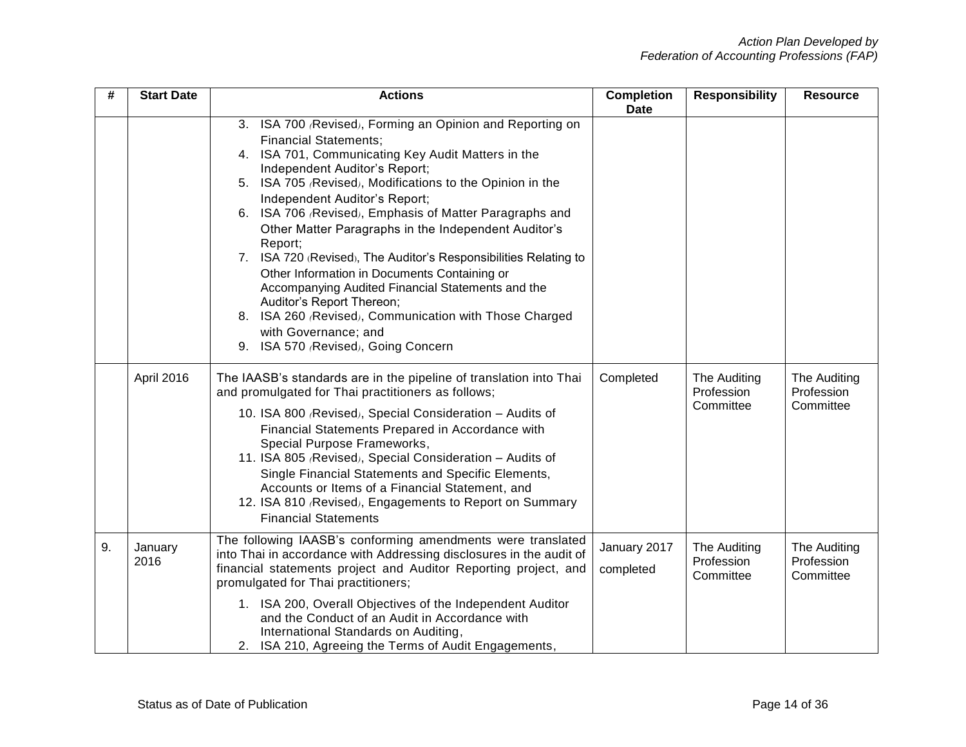| #  | <b>Start Date</b> | <b>Actions</b>                                                                                                                                                                                                                                                                                                                                                                                                                                                                                                                                                                                                                                                                                                                              | <b>Completion</b><br><b>Date</b> | <b>Responsibility</b>                   | <b>Resource</b>                         |
|----|-------------------|---------------------------------------------------------------------------------------------------------------------------------------------------------------------------------------------------------------------------------------------------------------------------------------------------------------------------------------------------------------------------------------------------------------------------------------------------------------------------------------------------------------------------------------------------------------------------------------------------------------------------------------------------------------------------------------------------------------------------------------------|----------------------------------|-----------------------------------------|-----------------------------------------|
|    |                   | 3. ISA 700 (Revised), Forming an Opinion and Reporting on<br><b>Financial Statements;</b><br>4. ISA 701, Communicating Key Audit Matters in the<br>Independent Auditor's Report;<br>5. ISA 705 (Revised), Modifications to the Opinion in the<br>Independent Auditor's Report;<br>6. ISA 706 (Revised), Emphasis of Matter Paragraphs and<br>Other Matter Paragraphs in the Independent Auditor's<br>Report;<br>7. ISA 720 (Revised), The Auditor's Responsibilities Relating to<br>Other Information in Documents Containing or<br>Accompanying Audited Financial Statements and the<br>Auditor's Report Thereon;<br>8. ISA 260 (Revised), Communication with Those Charged<br>with Governance; and<br>9. ISA 570 (Revised), Going Concern |                                  |                                         |                                         |
|    | April 2016        | The IAASB's standards are in the pipeline of translation into Thai<br>and promulgated for Thai practitioners as follows;<br>10. ISA 800 (Revised), Special Consideration - Audits of<br>Financial Statements Prepared in Accordance with<br>Special Purpose Frameworks,<br>11. ISA 805 (Revised), Special Consideration - Audits of<br>Single Financial Statements and Specific Elements,<br>Accounts or Items of a Financial Statement, and<br>12. ISA 810 (Revised), Engagements to Report on Summary<br><b>Financial Statements</b>                                                                                                                                                                                                      | Completed                        | The Auditing<br>Profession<br>Committee | The Auditing<br>Profession<br>Committee |
| 9. | January<br>2016   | The following IAASB's conforming amendments were translated<br>into Thai in accordance with Addressing disclosures in the audit of<br>financial statements project and Auditor Reporting project, and<br>promulgated for Thai practitioners;<br>1. ISA 200, Overall Objectives of the Independent Auditor<br>and the Conduct of an Audit in Accordance with<br>International Standards on Auditing,<br>2. ISA 210, Agreeing the Terms of Audit Engagements,                                                                                                                                                                                                                                                                                 | January 2017<br>completed        | The Auditing<br>Profession<br>Committee | The Auditing<br>Profession<br>Committee |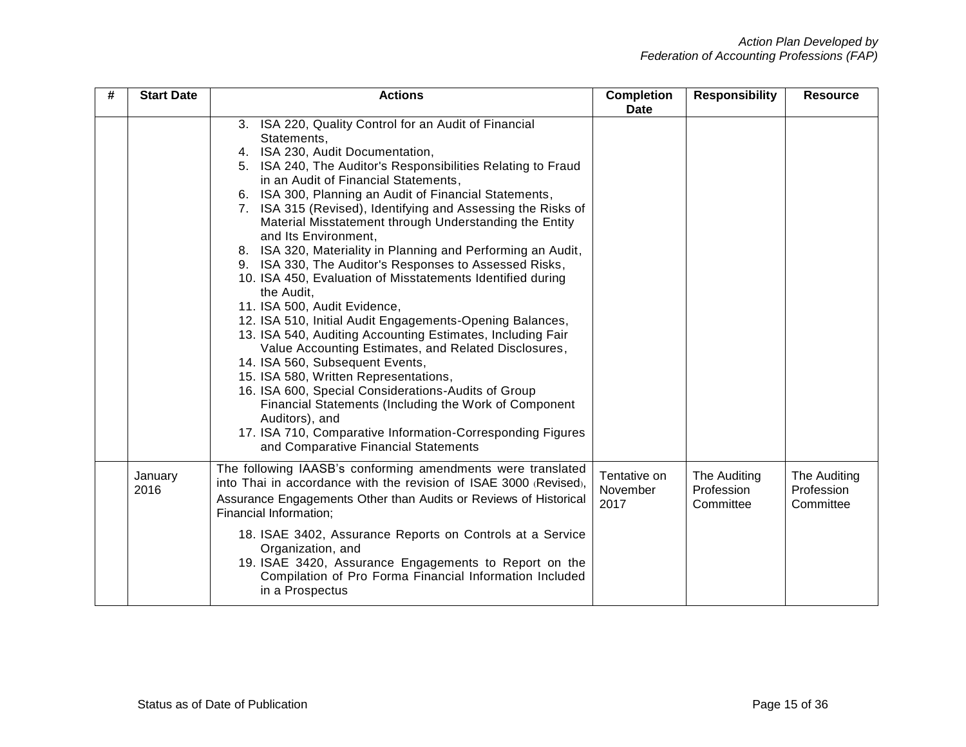| # | <b>Start Date</b> | <b>Actions</b>                                                                                                                                                                                                                                                                                                                                                                                                                                                                                                                                                                                                                                                                                                                                                                                                                                                                                                                                                                                                                                                                                                                                                           | <b>Completion</b><br><b>Date</b> | <b>Responsibility</b>                   | <b>Resource</b>                         |
|---|-------------------|--------------------------------------------------------------------------------------------------------------------------------------------------------------------------------------------------------------------------------------------------------------------------------------------------------------------------------------------------------------------------------------------------------------------------------------------------------------------------------------------------------------------------------------------------------------------------------------------------------------------------------------------------------------------------------------------------------------------------------------------------------------------------------------------------------------------------------------------------------------------------------------------------------------------------------------------------------------------------------------------------------------------------------------------------------------------------------------------------------------------------------------------------------------------------|----------------------------------|-----------------------------------------|-----------------------------------------|
|   |                   | 3. ISA 220, Quality Control for an Audit of Financial<br>Statements,<br>4. ISA 230, Audit Documentation,<br>5. ISA 240, The Auditor's Responsibilities Relating to Fraud<br>in an Audit of Financial Statements,<br>6. ISA 300, Planning an Audit of Financial Statements,<br>7. ISA 315 (Revised), Identifying and Assessing the Risks of<br>Material Misstatement through Understanding the Entity<br>and Its Environment,<br>8. ISA 320, Materiality in Planning and Performing an Audit,<br>9. ISA 330, The Auditor's Responses to Assessed Risks,<br>10. ISA 450, Evaluation of Misstatements Identified during<br>the Audit,<br>11. ISA 500, Audit Evidence,<br>12. ISA 510, Initial Audit Engagements-Opening Balances,<br>13. ISA 540, Auditing Accounting Estimates, Including Fair<br>Value Accounting Estimates, and Related Disclosures,<br>14. ISA 560, Subsequent Events,<br>15. ISA 580, Written Representations,<br>16. ISA 600, Special Considerations-Audits of Group<br>Financial Statements (Including the Work of Component<br>Auditors), and<br>17. ISA 710, Comparative Information-Corresponding Figures<br>and Comparative Financial Statements |                                  |                                         |                                         |
|   | January<br>2016   | The following IAASB's conforming amendments were translated<br>into Thai in accordance with the revision of ISAE 3000 (Revised).<br>Assurance Engagements Other than Audits or Reviews of Historical<br>Financial Information;<br>18. ISAE 3402, Assurance Reports on Controls at a Service<br>Organization, and<br>19. ISAE 3420, Assurance Engagements to Report on the<br>Compilation of Pro Forma Financial Information Included<br>in a Prospectus                                                                                                                                                                                                                                                                                                                                                                                                                                                                                                                                                                                                                                                                                                                  | Tentative on<br>November<br>2017 | The Auditing<br>Profession<br>Committee | The Auditing<br>Profession<br>Committee |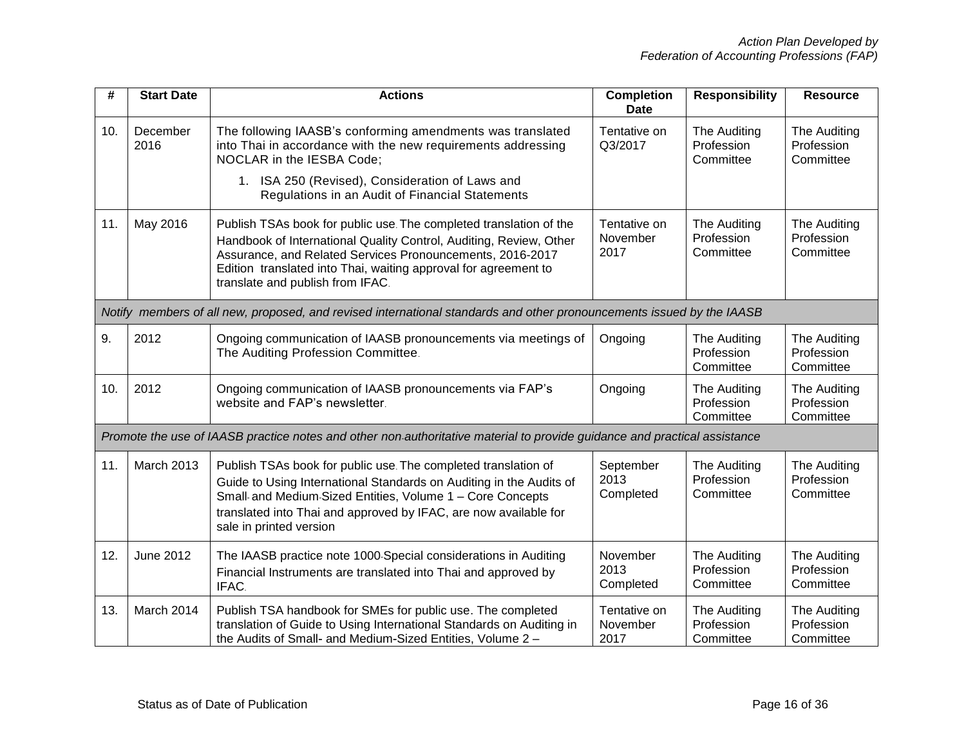| #   | <b>Start Date</b> | <b>Actions</b>                                                                                                                                                                                                                                                                                               | <b>Completion</b><br><b>Date</b> | <b>Responsibility</b>                   | <b>Resource</b>                         |
|-----|-------------------|--------------------------------------------------------------------------------------------------------------------------------------------------------------------------------------------------------------------------------------------------------------------------------------------------------------|----------------------------------|-----------------------------------------|-----------------------------------------|
| 10. | December<br>2016  | The following IAASB's conforming amendments was translated<br>into Thai in accordance with the new requirements addressing<br>NOCLAR in the IESBA Code;<br>1. ISA 250 (Revised), Consideration of Laws and                                                                                                   | Tentative on<br>Q3/2017          | The Auditing<br>Profession<br>Committee | The Auditing<br>Profession<br>Committee |
|     |                   | Regulations in an Audit of Financial Statements                                                                                                                                                                                                                                                              |                                  |                                         |                                         |
| 11. | May 2016          | Publish TSAs book for public use. The completed translation of the<br>Handbook of International Quality Control, Auditing, Review, Other<br>Assurance, and Related Services Pronouncements, 2016-2017<br>Edition translated into Thai, waiting approval for agreement to<br>translate and publish from IFAC. | Tentative on<br>November<br>2017 | The Auditing<br>Profession<br>Committee | The Auditing<br>Profession<br>Committee |
|     |                   | Notify members of all new, proposed, and revised international standards and other pronouncements issued by the IAASB                                                                                                                                                                                        |                                  |                                         |                                         |
| 9.  | 2012              | Ongoing communication of IAASB pronouncements via meetings of<br>The Auditing Profession Committee.                                                                                                                                                                                                          | Ongoing                          | The Auditing<br>Profession<br>Committee | The Auditing<br>Profession<br>Committee |
| 10. | 2012              | Ongoing communication of IAASB pronouncements via FAP's<br>website and FAP's newsletter.                                                                                                                                                                                                                     | Ongoing                          | The Auditing<br>Profession<br>Committee | The Auditing<br>Profession<br>Committee |
|     |                   | Promote the use of IAASB practice notes and other non authoritative material to provide guidance and practical assistance                                                                                                                                                                                    |                                  |                                         |                                         |
| 11. | <b>March 2013</b> | Publish TSAs book for public use. The completed translation of<br>Guide to Using International Standards on Auditing in the Audits of<br>Small and Medium-Sized Entities, Volume 1 - Core Concepts<br>translated into Thai and approved by IFAC, are now available for<br>sale in printed version            | September<br>2013<br>Completed   | The Auditing<br>Profession<br>Committee | The Auditing<br>Profession<br>Committee |
| 12. | <b>June 2012</b>  | The IAASB practice note 1000-Special considerations in Auditing<br>Financial Instruments are translated into Thai and approved by<br>IFAC.                                                                                                                                                                   | November<br>2013<br>Completed    | The Auditing<br>Profession<br>Committee | The Auditing<br>Profession<br>Committee |
| 13. | March 2014        | Publish TSA handbook for SMEs for public use. The completed<br>translation of Guide to Using International Standards on Auditing in<br>the Audits of Small- and Medium-Sized Entities, Volume 2 -                                                                                                            | Tentative on<br>November<br>2017 | The Auditing<br>Profession<br>Committee | The Auditing<br>Profession<br>Committee |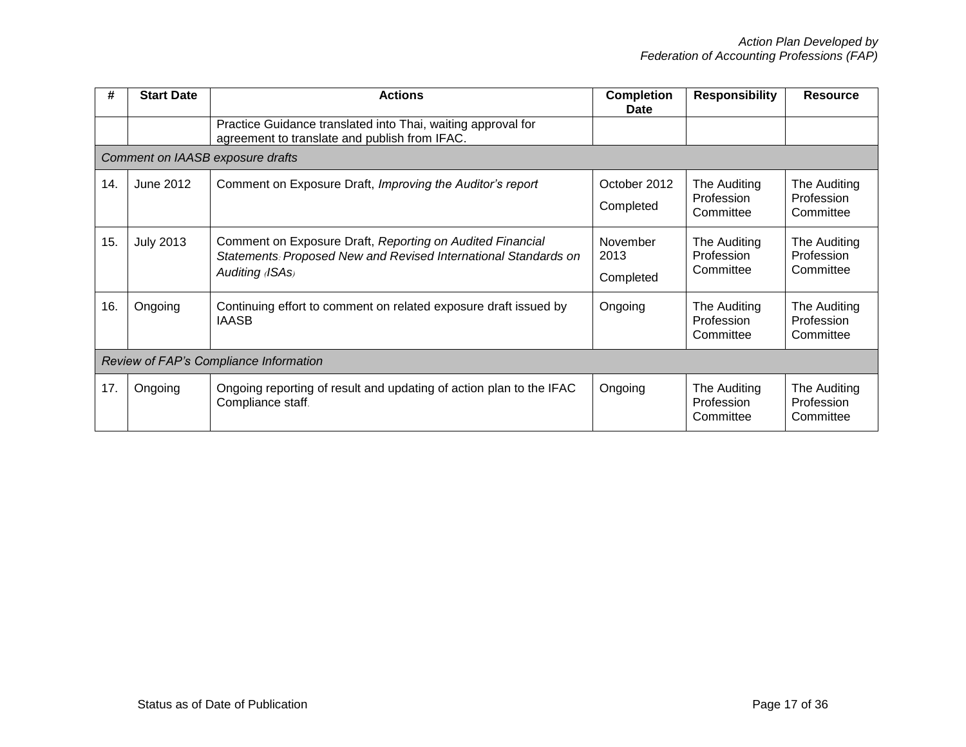| #   | <b>Start Date</b>                      | <b>Actions</b>                                                                                                                                  | <b>Completion</b><br>Date     | <b>Responsibility</b>                   | <b>Resource</b>                         |  |  |
|-----|----------------------------------------|-------------------------------------------------------------------------------------------------------------------------------------------------|-------------------------------|-----------------------------------------|-----------------------------------------|--|--|
|     |                                        | Practice Guidance translated into Thai, waiting approval for<br>agreement to translate and publish from IFAC.                                   |                               |                                         |                                         |  |  |
|     |                                        | Comment on IAASB exposure drafts                                                                                                                |                               |                                         |                                         |  |  |
| 14. | June 2012                              | Comment on Exposure Draft, Improving the Auditor's report                                                                                       | October 2012<br>Completed     | The Auditing<br>Profession<br>Committee | The Auditing<br>Profession<br>Committee |  |  |
| 15. | <b>July 2013</b>                       | Comment on Exposure Draft, Reporting on Audited Financial<br>Statements: Proposed New and Revised International Standards on<br>Auditing (ISAs) | November<br>2013<br>Completed | The Auditing<br>Profession<br>Committee | The Auditing<br>Profession<br>Committee |  |  |
| 16. | Ongoing                                | Continuing effort to comment on related exposure draft issued by<br><b>IAASB</b>                                                                | Ongoing                       | The Auditing<br>Profession<br>Committee | The Auditing<br>Profession<br>Committee |  |  |
|     | Review of FAP's Compliance Information |                                                                                                                                                 |                               |                                         |                                         |  |  |
| 17. | Ongoing                                | Ongoing reporting of result and updating of action plan to the IFAC<br>Compliance staff.                                                        | Ongoing                       | The Auditing<br>Profession<br>Committee | The Auditing<br>Profession<br>Committee |  |  |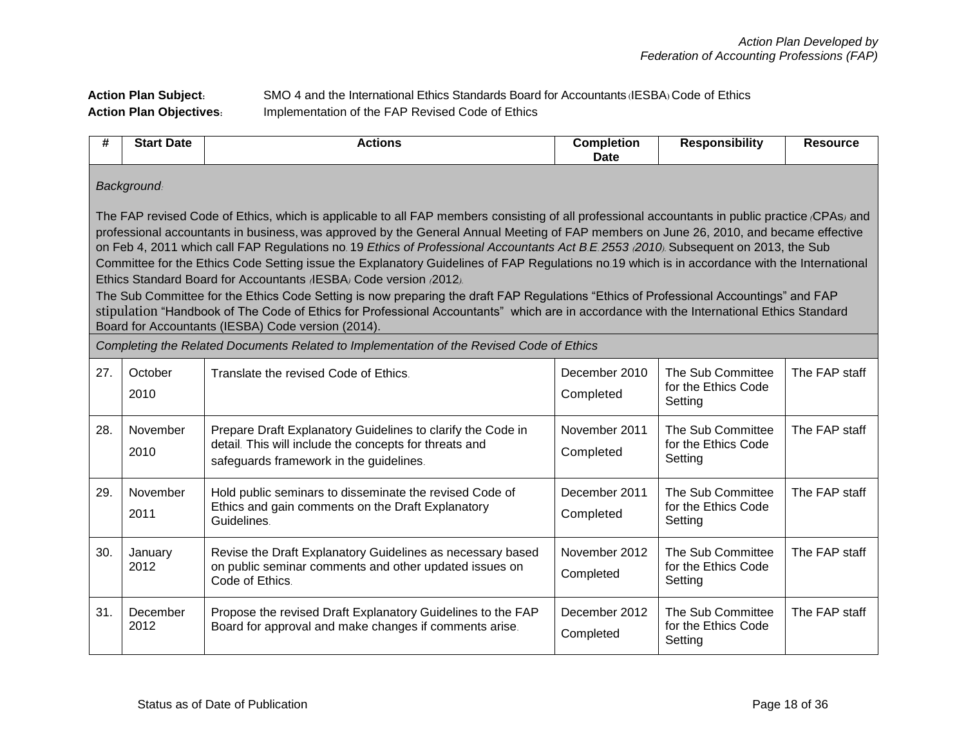## **Action Plan Subject:** SMO 4 and the International Ethics Standards Board for Accountants (IESBA) Code of Ethics **Action Plan Objectives:** Implementation of the FAP Revised Code of Ethics

| #   | <b>Start Date</b>                                                                                                                                                                                                                                                                                                                                                                                                                                                                                                                                                                                                                                                                                                                                                                                                                                                                                                                                                                                    | <b>Actions</b>                                                                                                                                                   | <b>Completion</b><br><b>Date</b> | <b>Responsibility</b>                               | <b>Resource</b> |  |  |
|-----|------------------------------------------------------------------------------------------------------------------------------------------------------------------------------------------------------------------------------------------------------------------------------------------------------------------------------------------------------------------------------------------------------------------------------------------------------------------------------------------------------------------------------------------------------------------------------------------------------------------------------------------------------------------------------------------------------------------------------------------------------------------------------------------------------------------------------------------------------------------------------------------------------------------------------------------------------------------------------------------------------|------------------------------------------------------------------------------------------------------------------------------------------------------------------|----------------------------------|-----------------------------------------------------|-----------------|--|--|
|     | <b>Background:</b>                                                                                                                                                                                                                                                                                                                                                                                                                                                                                                                                                                                                                                                                                                                                                                                                                                                                                                                                                                                   |                                                                                                                                                                  |                                  |                                                     |                 |  |  |
|     | The FAP revised Code of Ethics, which is applicable to all FAP members consisting of all professional accountants in public practice (CPAs) and<br>professional accountants in business, was approved by the General Annual Meeting of FAP members on June 26, 2010, and became effective<br>on Feb 4, 2011 which call FAP Regulations no. 19 Ethics of Professional Accountants Act B.E. 2553 (2010). Subsequent on 2013, the Sub<br>Committee for the Ethics Code Setting issue the Explanatory Guidelines of FAP Regulations no.19 which is in accordance with the International<br>Ethics Standard Board for Accountants (IESBA) Code version (2012).<br>The Sub Committee for the Ethics Code Setting is now preparing the draft FAP Regulations "Ethics of Professional Accountings" and FAP<br>stipulation "Handbook of The Code of Ethics for Professional Accountants" which are in accordance with the International Ethics Standard<br>Board for Accountants (IESBA) Code version (2014). |                                                                                                                                                                  |                                  |                                                     |                 |  |  |
|     |                                                                                                                                                                                                                                                                                                                                                                                                                                                                                                                                                                                                                                                                                                                                                                                                                                                                                                                                                                                                      | Completing the Related Documents Related to Implementation of the Revised Code of Ethics                                                                         |                                  |                                                     |                 |  |  |
| 27. | October<br>2010                                                                                                                                                                                                                                                                                                                                                                                                                                                                                                                                                                                                                                                                                                                                                                                                                                                                                                                                                                                      | Translate the revised Code of Ethics.                                                                                                                            | December 2010<br>Completed       | The Sub Committee<br>for the Ethics Code<br>Setting | The FAP staff   |  |  |
| 28. | November<br>2010                                                                                                                                                                                                                                                                                                                                                                                                                                                                                                                                                                                                                                                                                                                                                                                                                                                                                                                                                                                     | Prepare Draft Explanatory Guidelines to clarify the Code in<br>detail. This will include the concepts for threats and<br>safeguards framework in the guidelines. | November 2011<br>Completed       | The Sub Committee<br>for the Ethics Code<br>Setting | The FAP staff   |  |  |
| 29. | November<br>2011                                                                                                                                                                                                                                                                                                                                                                                                                                                                                                                                                                                                                                                                                                                                                                                                                                                                                                                                                                                     | Hold public seminars to disseminate the revised Code of<br>Ethics and gain comments on the Draft Explanatory<br>Guidelines.                                      | December 2011<br>Completed       | The Sub Committee<br>for the Ethics Code<br>Setting | The FAP staff   |  |  |
| 30. | January<br>2012                                                                                                                                                                                                                                                                                                                                                                                                                                                                                                                                                                                                                                                                                                                                                                                                                                                                                                                                                                                      | Revise the Draft Explanatory Guidelines as necessary based<br>on public seminar comments and other updated issues on<br>Code of Ethics.                          | November 2012<br>Completed       | The Sub Committee<br>for the Ethics Code<br>Setting | The FAP staff   |  |  |
| 31. | December<br>2012                                                                                                                                                                                                                                                                                                                                                                                                                                                                                                                                                                                                                                                                                                                                                                                                                                                                                                                                                                                     | Propose the revised Draft Explanatory Guidelines to the FAP<br>Board for approval and make changes if comments arise.                                            | December 2012<br>Completed       | The Sub Committee<br>for the Ethics Code<br>Setting | The FAP staff   |  |  |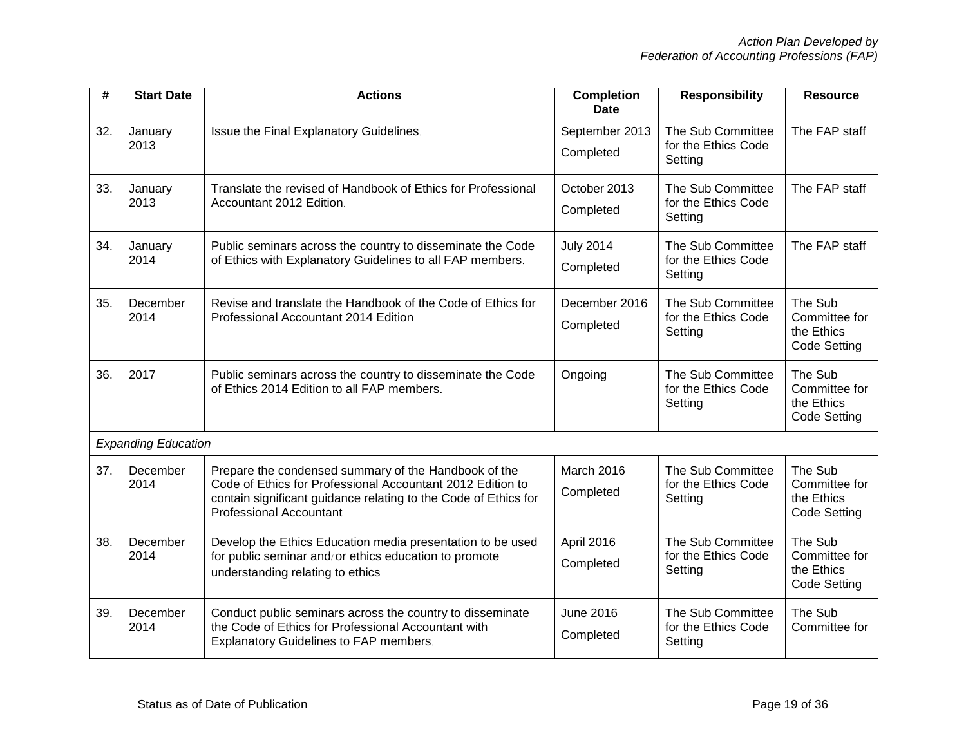| #   | <b>Start Date</b>          | <b>Actions</b>                                                                                                                                                                                                          | <b>Completion</b><br><b>Date</b> | <b>Responsibility</b>                               | <b>Resource</b>                                               |
|-----|----------------------------|-------------------------------------------------------------------------------------------------------------------------------------------------------------------------------------------------------------------------|----------------------------------|-----------------------------------------------------|---------------------------------------------------------------|
| 32. | January<br>2013            | Issue the Final Explanatory Guidelines.                                                                                                                                                                                 | September 2013<br>Completed      | The Sub Committee<br>for the Ethics Code<br>Setting | The FAP staff                                                 |
| 33. | January<br>2013            | Translate the revised of Handbook of Ethics for Professional<br>Accountant 2012 Edition.                                                                                                                                | October 2013<br>Completed        | The Sub Committee<br>for the Ethics Code<br>Setting | The FAP staff                                                 |
| 34. | January<br>2014            | Public seminars across the country to disseminate the Code<br>of Ethics with Explanatory Guidelines to all FAP members.                                                                                                 | <b>July 2014</b><br>Completed    | The Sub Committee<br>for the Ethics Code<br>Setting | The FAP staff                                                 |
| 35. | December<br>2014           | Revise and translate the Handbook of the Code of Ethics for<br>Professional Accountant 2014 Edition                                                                                                                     | December 2016<br>Completed       | The Sub Committee<br>for the Ethics Code<br>Setting | The Sub<br>Committee for<br>the Ethics<br><b>Code Setting</b> |
| 36. | 2017                       | Public seminars across the country to disseminate the Code<br>of Ethics 2014 Edition to all FAP members.                                                                                                                | Ongoing                          | The Sub Committee<br>for the Ethics Code<br>Setting | The Sub<br>Committee for<br>the Ethics<br><b>Code Setting</b> |
|     | <b>Expanding Education</b> |                                                                                                                                                                                                                         |                                  |                                                     |                                                               |
| 37. | December<br>2014           | Prepare the condensed summary of the Handbook of the<br>Code of Ethics for Professional Accountant 2012 Edition to<br>contain significant guidance relating to the Code of Ethics for<br><b>Professional Accountant</b> | March 2016<br>Completed          | The Sub Committee<br>for the Ethics Code<br>Setting | The Sub<br>Committee for<br>the Ethics<br><b>Code Setting</b> |
| 38. | December<br>2014           | Develop the Ethics Education media presentation to be used<br>for public seminar and/or ethics education to promote<br>understanding relating to ethics                                                                 | April 2016<br>Completed          | The Sub Committee<br>for the Ethics Code<br>Setting | The Sub<br>Committee for<br>the Ethics<br><b>Code Setting</b> |
| 39. | December<br>2014           | Conduct public seminars across the country to disseminate<br>the Code of Ethics for Professional Accountant with<br><b>Explanatory Guidelines to FAP members.</b>                                                       | <b>June 2016</b><br>Completed    | The Sub Committee<br>for the Ethics Code<br>Setting | The Sub<br>Committee for                                      |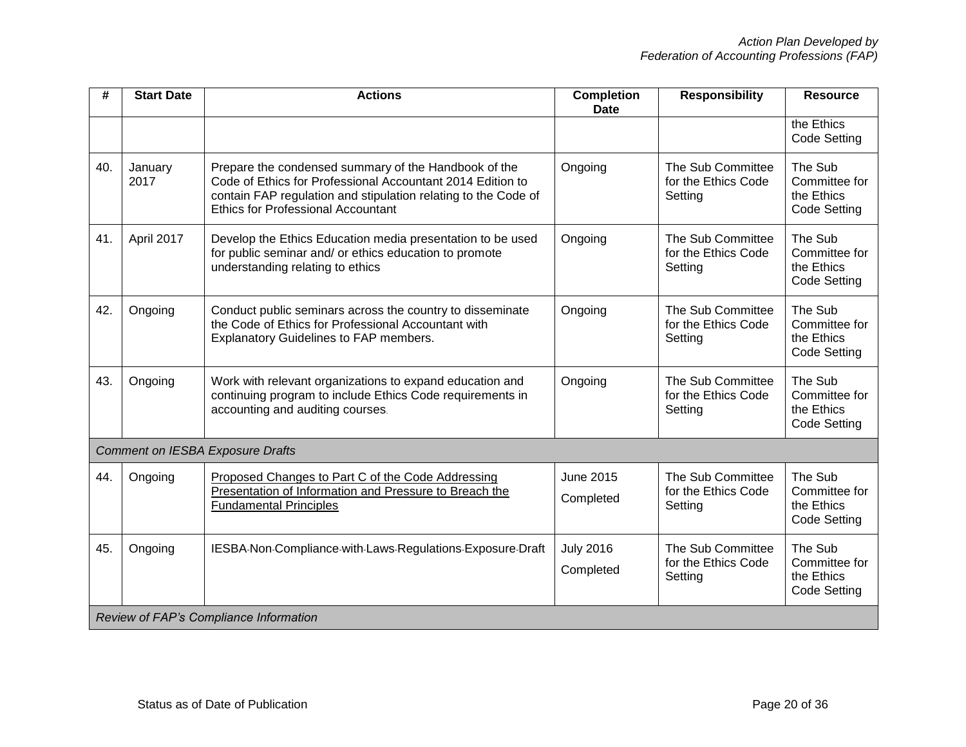| #   | <b>Start Date</b> | <b>Actions</b>                                                                                                                                                                                                                    | <b>Completion</b><br><b>Date</b> | <b>Responsibility</b>                               | <b>Resource</b>                                        |
|-----|-------------------|-----------------------------------------------------------------------------------------------------------------------------------------------------------------------------------------------------------------------------------|----------------------------------|-----------------------------------------------------|--------------------------------------------------------|
|     |                   |                                                                                                                                                                                                                                   |                                  |                                                     | the Ethics<br>Code Setting                             |
| 40. | January<br>2017   | Prepare the condensed summary of the Handbook of the<br>Code of Ethics for Professional Accountant 2014 Edition to<br>contain FAP regulation and stipulation relating to the Code of<br><b>Ethics for Professional Accountant</b> | Ongoing                          | The Sub Committee<br>for the Ethics Code<br>Setting | The Sub<br>Committee for<br>the Ethics<br>Code Setting |
| 41. | April 2017        | Develop the Ethics Education media presentation to be used<br>for public seminar and/ or ethics education to promote<br>understanding relating to ethics                                                                          | Ongoing                          | The Sub Committee<br>for the Ethics Code<br>Setting | The Sub<br>Committee for<br>the Ethics<br>Code Setting |
| 42. | Ongoing           | Conduct public seminars across the country to disseminate<br>the Code of Ethics for Professional Accountant with<br><b>Explanatory Guidelines to FAP members.</b>                                                                 | Ongoing                          | The Sub Committee<br>for the Ethics Code<br>Setting | The Sub<br>Committee for<br>the Ethics<br>Code Setting |
| 43. | Ongoing           | Work with relevant organizations to expand education and<br>continuing program to include Ethics Code requirements in<br>accounting and auditing courses.                                                                         | Ongoing                          | The Sub Committee<br>for the Ethics Code<br>Setting | The Sub<br>Committee for<br>the Ethics<br>Code Setting |
|     |                   | <b>Comment on IESBA Exposure Drafts</b>                                                                                                                                                                                           |                                  |                                                     |                                                        |
| 44. | Ongoing           | Proposed Changes to Part C of the Code Addressing<br>Presentation of Information and Pressure to Breach the<br><b>Fundamental Principles</b>                                                                                      | <b>June 2015</b><br>Completed    | The Sub Committee<br>for the Ethics Code<br>Setting | The Sub<br>Committee for<br>the Ethics<br>Code Setting |
| 45. | Ongoing           | IESBA-Non-Compliance-with-Laws-Regulations-Exposure-Draft                                                                                                                                                                         | <b>July 2016</b><br>Completed    | The Sub Committee<br>for the Ethics Code<br>Setting | The Sub<br>Committee for<br>the Ethics<br>Code Setting |
|     |                   | Review of FAP's Compliance Information                                                                                                                                                                                            |                                  |                                                     |                                                        |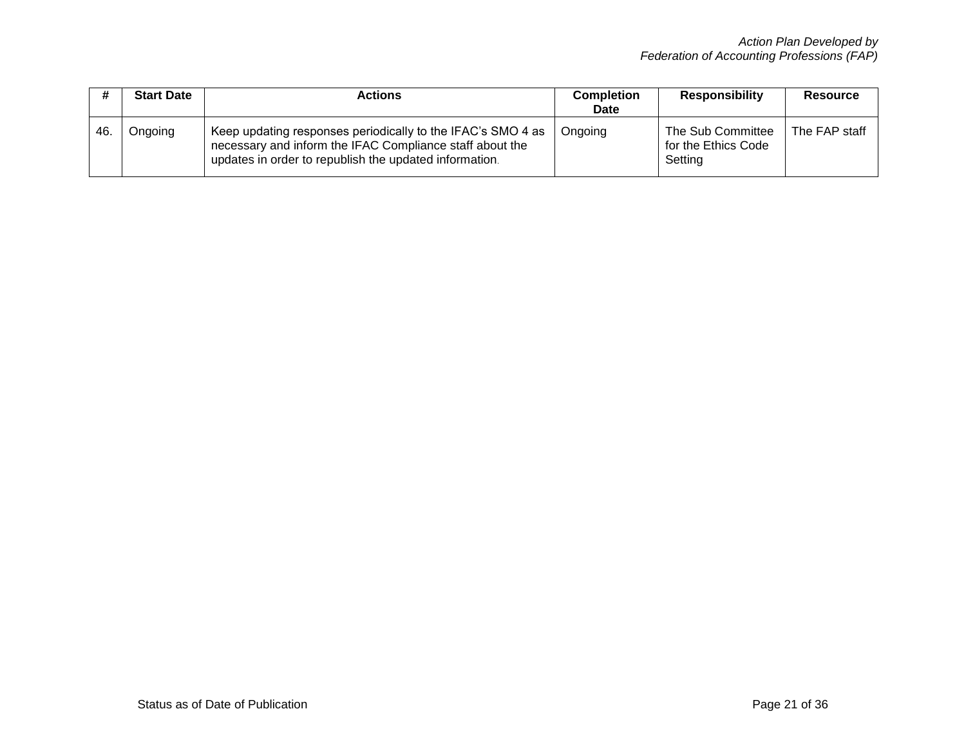|      | <b>Start Date</b> | <b>Actions</b>                                                                                                                                                                    | <b>Completion</b><br><b>Date</b> | <b>Responsibility</b>                               | Resource      |
|------|-------------------|-----------------------------------------------------------------------------------------------------------------------------------------------------------------------------------|----------------------------------|-----------------------------------------------------|---------------|
| -46. | Ongoing           | Keep updating responses periodically to the IFAC's SMO 4 as<br>necessary and inform the IFAC Compliance staff about the<br>updates in order to republish the updated information. | Ongoing                          | The Sub Committee<br>for the Ethics Code<br>Setting | The FAP staff |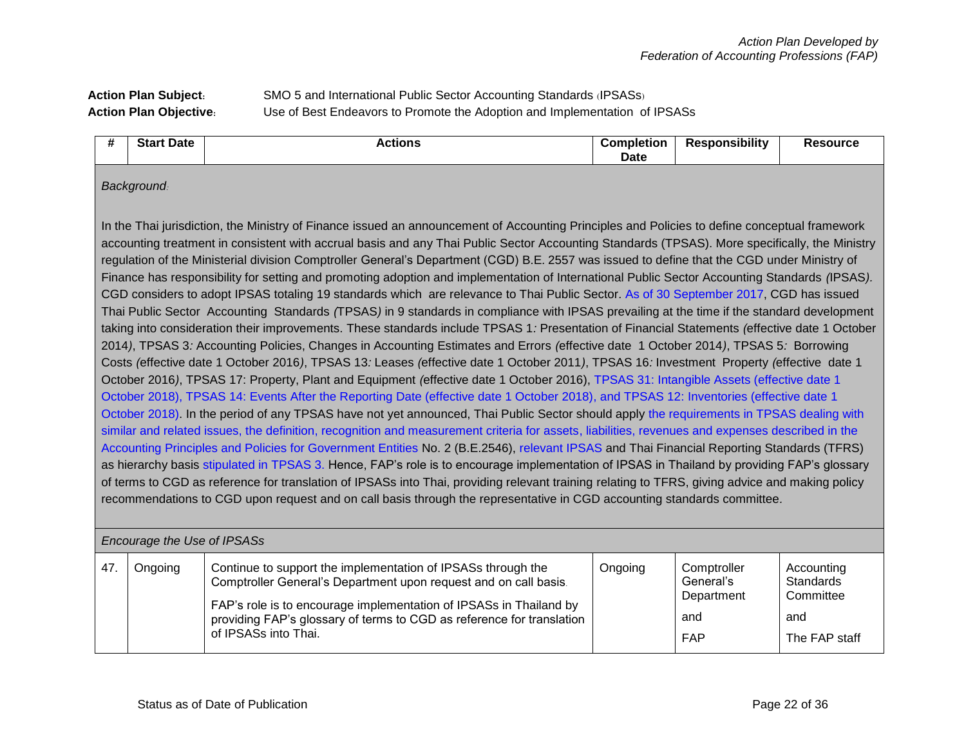# **Action Plan Subject:** SMO 5 and International Public Sector Accounting Standards (IPSASs) **Action Plan Objective:** Use of Best Endeavors to Promote the Adoption and Implementation of IPSASs

#### *Background:*

In the Thai jurisdiction, the Ministry of Finance issued an announcement of Accounting Principles and Policies to define conceptual framework accounting treatment in consistent with accrual basis and any Thai Public Sector Accounting Standards (TPSAS). More specifically, the Ministry regulation of the Ministerial division Comptroller General's Department (CGD) B*.*E*.* 2557 was issued to define that the CGD under Ministry of Finance has responsibility for setting and promoting adoption and implementation of International Public Sector Accounting Standards *(*IPSAS*).*  CGD considers to adopt IPSAS totaling 19 standards which are relevance to Thai Public Sector*.* As of 30 September 2017, CGD has issued Thai Public Sector Accounting Standards *(*TPSAS*)* in 9 standards in compliance with IPSAS prevailing at the time if the standard development taking into consideration their improvements. These standards include TPSAS 1*:* Presentation of Financial Statements *(*effective date 1 October 2014*)*, TPSAS 3*:* Accounting Policies, Changes in Accounting Estimates and Errors *(*effective date 1 October 2014*)*, TPSAS 5*:* Borrowing Costs *(*effective date 1 October 2016*)*, TPSAS 13*:* Leases *(*effective date 1 October 2011*)*, TPSAS 16*:* Investment Property *(*effective date 1 October 2016*)*, TPSAS 17: Property, Plant and Equipment *(*effective date 1 October 2016), TPSAS 31: Intangible Assets (effective date 1 October 2018), TPSAS 14: Events After the Reporting Date (effective date 1 October 2018), and TPSAS 12: Inventories (effective date 1 October 2018). In the period of any TPSAS have not yet announced, Thai Public Sector should apply the requirements in TPSAS dealing with similar and related issues, the definition, recognition and measurement criteria for assets, liabilities, revenues and expenses described in the Accounting Principles and Policies for Government Entities No. 2 (B.E.2546), relevant IPSAS and Thai Financial Reporting Standards (TFRS) as hierarchy basis stipulated in TPSAS 3. Hence, FAP's role is to encourage implementation of IPSAS in Thailand by providing FAP's glossary of terms to CGD as reference for translation of IPSASs into Thai, providing relevant training relating to TFRS, giving advice and making policy recommendations to CGD upon request and on call basis through the representative in CGD accounting standards committee*.*

| Encourage the Use of IPSASs |         |                                                                                                                                                                                                                                                                                                         |         |                                                             |                                                              |  |  |
|-----------------------------|---------|---------------------------------------------------------------------------------------------------------------------------------------------------------------------------------------------------------------------------------------------------------------------------------------------------------|---------|-------------------------------------------------------------|--------------------------------------------------------------|--|--|
| 47                          | Ongoing | Continue to support the implementation of IPSASs through the<br>Comptroller General's Department upon request and on call basis.<br>FAP's role is to encourage implementation of IPSASs in Thailand by<br>providing FAP's glossary of terms to CGD as reference for translation<br>of IPSASs into Thai. | Ongoing | Comptroller<br>General's<br>Department<br>and<br><b>FAP</b> | Accounting<br>Standards<br>Committee<br>and<br>The FAP staff |  |  |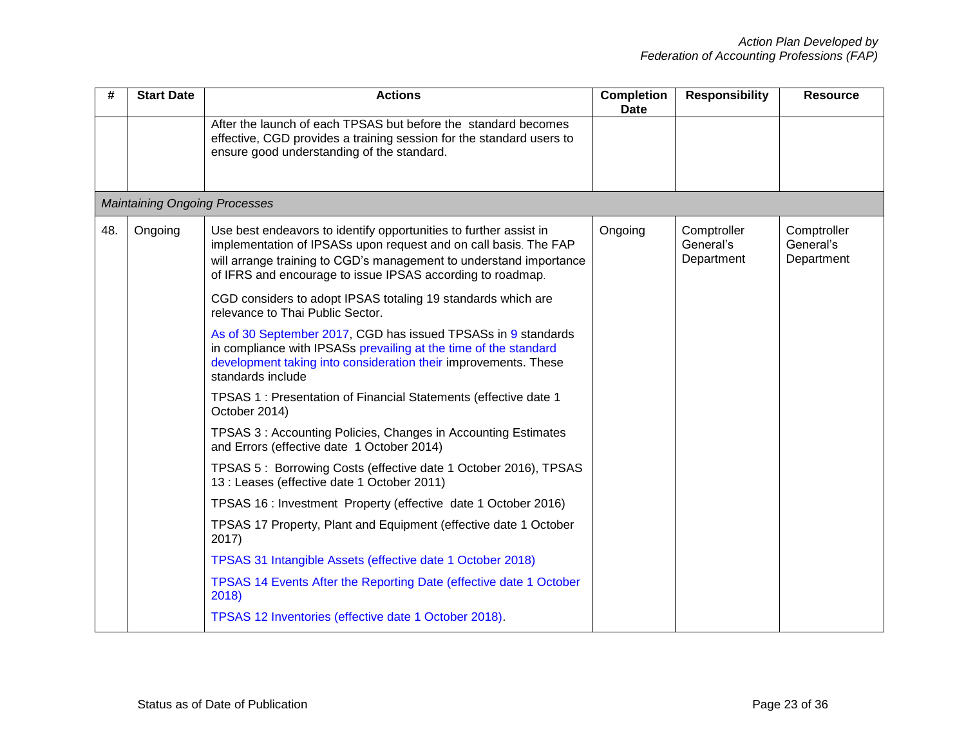| #   | <b>Start Date</b>                    | <b>Actions</b>                                                                                                                                                                                                                                                            | <b>Completion</b><br><b>Date</b> | <b>Responsibility</b>                  | <b>Resource</b>                        |
|-----|--------------------------------------|---------------------------------------------------------------------------------------------------------------------------------------------------------------------------------------------------------------------------------------------------------------------------|----------------------------------|----------------------------------------|----------------------------------------|
|     |                                      | After the launch of each TPSAS but before the standard becomes<br>effective, CGD provides a training session for the standard users to<br>ensure good understanding of the standard.                                                                                      |                                  |                                        |                                        |
|     | <b>Maintaining Ongoing Processes</b> |                                                                                                                                                                                                                                                                           |                                  |                                        |                                        |
| 48. | Ongoing                              | Use best endeavors to identify opportunities to further assist in<br>implementation of IPSASs upon request and on call basis. The FAP<br>will arrange training to CGD's management to understand importance<br>of IFRS and encourage to issue IPSAS according to roadmap. | Ongoing                          | Comptroller<br>General's<br>Department | Comptroller<br>General's<br>Department |
|     |                                      | CGD considers to adopt IPSAS totaling 19 standards which are<br>relevance to Thai Public Sector.                                                                                                                                                                          |                                  |                                        |                                        |
|     |                                      | As of 30 September 2017, CGD has issued TPSASs in 9 standards<br>in compliance with IPSASs prevailing at the time of the standard<br>development taking into consideration their improvements. These<br>standards include                                                 |                                  |                                        |                                        |
|     |                                      | TPSAS 1 : Presentation of Financial Statements (effective date 1<br>October 2014)                                                                                                                                                                                         |                                  |                                        |                                        |
|     |                                      | TPSAS 3: Accounting Policies, Changes in Accounting Estimates<br>and Errors (effective date 1 October 2014)                                                                                                                                                               |                                  |                                        |                                        |
|     |                                      | TPSAS 5: Borrowing Costs (effective date 1 October 2016), TPSAS<br>13 : Leases (effective date 1 October 2011)                                                                                                                                                            |                                  |                                        |                                        |
|     |                                      | TPSAS 16 : Investment Property (effective date 1 October 2016)                                                                                                                                                                                                            |                                  |                                        |                                        |
|     |                                      | TPSAS 17 Property, Plant and Equipment (effective date 1 October<br>2017)                                                                                                                                                                                                 |                                  |                                        |                                        |
|     |                                      | TPSAS 31 Intangible Assets (effective date 1 October 2018)                                                                                                                                                                                                                |                                  |                                        |                                        |
|     |                                      | TPSAS 14 Events After the Reporting Date (effective date 1 October<br>2018)                                                                                                                                                                                               |                                  |                                        |                                        |
|     |                                      | TPSAS 12 Inventories (effective date 1 October 2018).                                                                                                                                                                                                                     |                                  |                                        |                                        |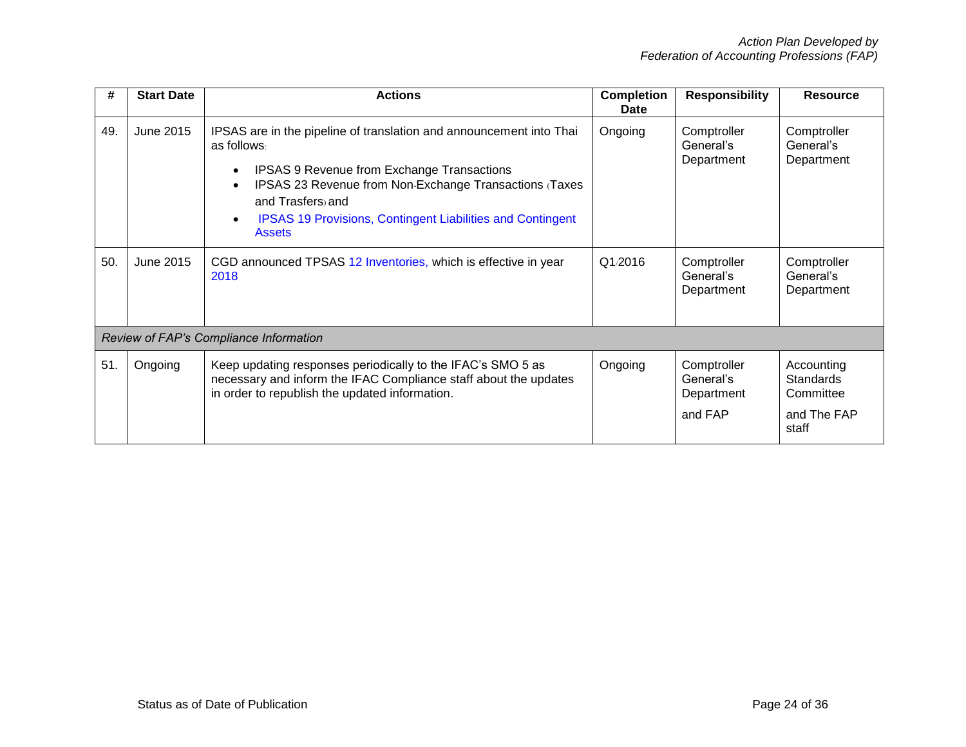| #   | <b>Start Date</b> | <b>Actions</b>                                                                                                                                                                                                                                                                                                                                      | <b>Completion</b><br>Date | <b>Responsibility</b>                             | <b>Resource</b>                                                     |
|-----|-------------------|-----------------------------------------------------------------------------------------------------------------------------------------------------------------------------------------------------------------------------------------------------------------------------------------------------------------------------------------------------|---------------------------|---------------------------------------------------|---------------------------------------------------------------------|
| 49. | June 2015         | IPSAS are in the pipeline of translation and announcement into Thai<br>as follows:<br><b>IPSAS 9 Revenue from Exchange Transactions</b><br>$\bullet$<br>IPSAS 23 Revenue from Non-Exchange Transactions (Taxes<br>$\bullet$<br>and Trasfers) and<br><b>IPSAS 19 Provisions, Contingent Liabilities and Contingent</b><br>$\bullet$<br><b>Assets</b> | Ongoing                   | Comptroller<br>General's<br>Department            | Comptroller<br>General's<br>Department                              |
| 50. | June 2015         | CGD announced TPSAS 12 Inventories, which is effective in year<br>2018                                                                                                                                                                                                                                                                              | Q1/2016                   | Comptroller<br>General's<br>Department            | Comptroller<br>General's<br>Department                              |
|     |                   | Review of FAP's Compliance Information                                                                                                                                                                                                                                                                                                              |                           |                                                   |                                                                     |
| 51. | Ongoing           | Keep updating responses periodically to the IFAC's SMO 5 as<br>necessary and inform the IFAC Compliance staff about the updates<br>in order to republish the updated information.                                                                                                                                                                   | Ongoing                   | Comptroller<br>General's<br>Department<br>and FAP | Accounting<br><b>Standards</b><br>Committee<br>and The FAP<br>staff |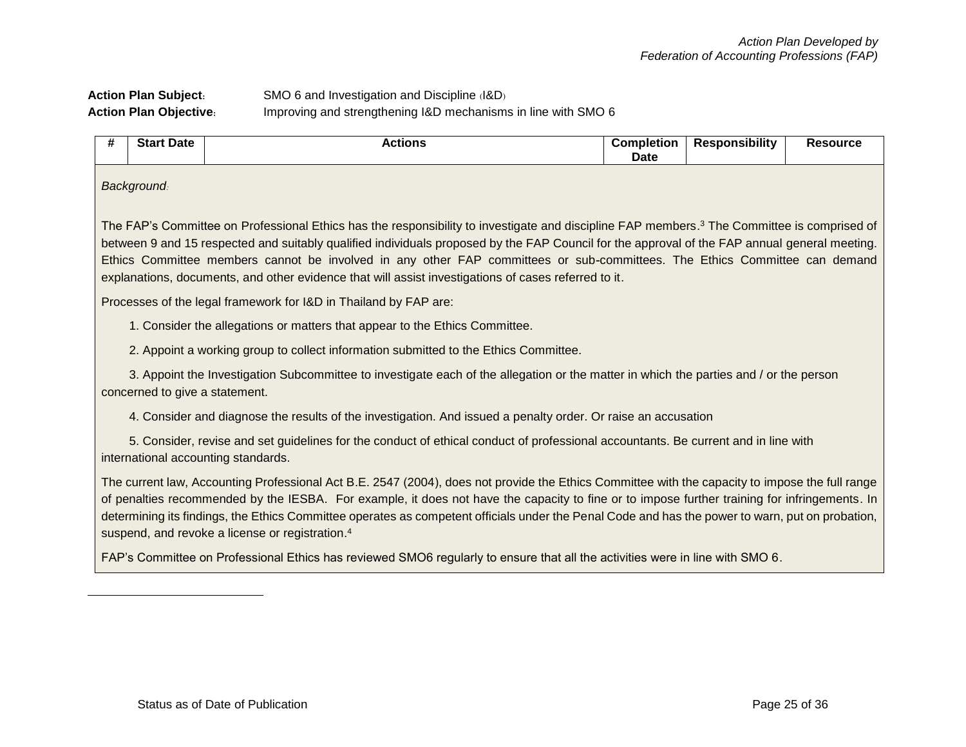## **Action Plan Subject:** SMO 6 and Investigation and Discipline (I&D) **Action Plan Objective:** Improving and strengthening I&D mechanisms in line with SMO 6

| # | <b>Start Date</b>                                                                                                                                                                                                                                                                                                                                                                                                                                                                                                                              | <b>Actions</b>                                                                                                                                                            | <b>Completion</b><br>Date | <b>Responsibility</b> | <b>Resource</b> |  |  |  |  |
|---|------------------------------------------------------------------------------------------------------------------------------------------------------------------------------------------------------------------------------------------------------------------------------------------------------------------------------------------------------------------------------------------------------------------------------------------------------------------------------------------------------------------------------------------------|---------------------------------------------------------------------------------------------------------------------------------------------------------------------------|---------------------------|-----------------------|-----------------|--|--|--|--|
|   | <b>Background</b>                                                                                                                                                                                                                                                                                                                                                                                                                                                                                                                              |                                                                                                                                                                           |                           |                       |                 |  |  |  |  |
|   | The FAP's Committee on Professional Ethics has the responsibility to investigate and discipline FAP members. <sup>3</sup> The Committee is comprised of<br>between 9 and 15 respected and suitably qualified individuals proposed by the FAP Council for the approval of the FAP annual general meeting.<br>Ethics Committee members cannot be involved in any other FAP committees or sub-committees. The Ethics Committee can demand<br>explanations, documents, and other evidence that will assist investigations of cases referred to it. |                                                                                                                                                                           |                           |                       |                 |  |  |  |  |
|   |                                                                                                                                                                                                                                                                                                                                                                                                                                                                                                                                                | Processes of the legal framework for I&D in Thailand by FAP are:                                                                                                          |                           |                       |                 |  |  |  |  |
|   |                                                                                                                                                                                                                                                                                                                                                                                                                                                                                                                                                | 1. Consider the allegations or matters that appear to the Ethics Committee.                                                                                               |                           |                       |                 |  |  |  |  |
|   |                                                                                                                                                                                                                                                                                                                                                                                                                                                                                                                                                | 2. Appoint a working group to collect information submitted to the Ethics Committee.                                                                                      |                           |                       |                 |  |  |  |  |
|   | concerned to give a statement.                                                                                                                                                                                                                                                                                                                                                                                                                                                                                                                 | 3. Appoint the Investigation Subcommittee to investigate each of the allegation or the matter in which the parties and / or the person                                    |                           |                       |                 |  |  |  |  |
|   |                                                                                                                                                                                                                                                                                                                                                                                                                                                                                                                                                | 4. Consider and diagnose the results of the investigation. And issued a penalty order. Or raise an accusation                                                             |                           |                       |                 |  |  |  |  |
|   |                                                                                                                                                                                                                                                                                                                                                                                                                                                                                                                                                | 5. Consider, revise and set guidelines for the conduct of ethical conduct of professional accountants. Be current and in line with<br>international accounting standards. |                           |                       |                 |  |  |  |  |
|   | The current law, Accounting Professional Act B.E. 2547 (2004), does not provide the Ethics Committee with the capacity to impose the full range<br>of penalties recommended by the IESBA. For example, it does not have the capacity to fine or to impose further training for infringements. In<br>determining its findings, the Ethics Committee operates as competent officials under the Penal Code and has the power to warn, put on probation,<br>suspend, and revoke a license or registration. <sup>4</sup>                            |                                                                                                                                                                           |                           |                       |                 |  |  |  |  |
|   | FAP's Committee on Professional Ethics has reviewed SMO6 regularly to ensure that all the activities were in line with SMO 6.                                                                                                                                                                                                                                                                                                                                                                                                                  |                                                                                                                                                                           |                           |                       |                 |  |  |  |  |
|   |                                                                                                                                                                                                                                                                                                                                                                                                                                                                                                                                                |                                                                                                                                                                           |                           |                       |                 |  |  |  |  |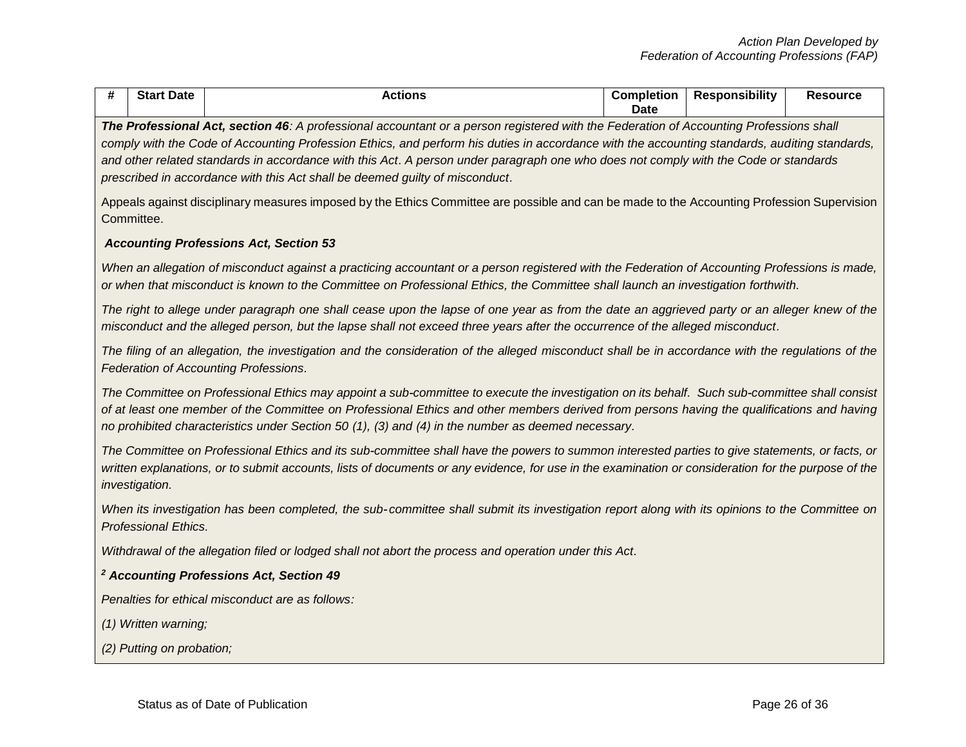| # | <b>Start Date</b>                                                                                                                                                                                                                                                                                                                                                                                                                                                                                               | <b>Actions</b>                                                                                                                                                                                                                                                                                                                                                                                    | <b>Completion</b><br><b>Date</b> | <b>Responsibility</b> | <b>Resource</b> |  |  |  |
|---|-----------------------------------------------------------------------------------------------------------------------------------------------------------------------------------------------------------------------------------------------------------------------------------------------------------------------------------------------------------------------------------------------------------------------------------------------------------------------------------------------------------------|---------------------------------------------------------------------------------------------------------------------------------------------------------------------------------------------------------------------------------------------------------------------------------------------------------------------------------------------------------------------------------------------------|----------------------------------|-----------------------|-----------------|--|--|--|
|   | The Professional Act, section 46: A professional accountant or a person registered with the Federation of Accounting Professions shall<br>comply with the Code of Accounting Profession Ethics, and perform his duties in accordance with the accounting standards, auditing standards,<br>and other related standards in accordance with this Act. A person under paragraph one who does not comply with the Code or standards<br>prescribed in accordance with this Act shall be deemed guilty of misconduct. |                                                                                                                                                                                                                                                                                                                                                                                                   |                                  |                       |                 |  |  |  |
|   | Appeals against disciplinary measures imposed by the Ethics Committee are possible and can be made to the Accounting Profession Supervision<br>Committee.                                                                                                                                                                                                                                                                                                                                                       |                                                                                                                                                                                                                                                                                                                                                                                                   |                                  |                       |                 |  |  |  |
|   |                                                                                                                                                                                                                                                                                                                                                                                                                                                                                                                 | <b>Accounting Professions Act, Section 53</b>                                                                                                                                                                                                                                                                                                                                                     |                                  |                       |                 |  |  |  |
|   |                                                                                                                                                                                                                                                                                                                                                                                                                                                                                                                 | When an allegation of misconduct against a practicing accountant or a person registered with the Federation of Accounting Professions is made,<br>or when that misconduct is known to the Committee on Professional Ethics, the Committee shall launch an investigation forthwith.                                                                                                                |                                  |                       |                 |  |  |  |
|   |                                                                                                                                                                                                                                                                                                                                                                                                                                                                                                                 | The right to allege under paragraph one shall cease upon the lapse of one year as from the date an aggrieved party or an alleger knew of the<br>misconduct and the alleged person, but the lapse shall not exceed three years after the occurrence of the alleged misconduct.                                                                                                                     |                                  |                       |                 |  |  |  |
|   |                                                                                                                                                                                                                                                                                                                                                                                                                                                                                                                 | The filing of an allegation, the investigation and the consideration of the alleged misconduct shall be in accordance with the regulations of the<br>Federation of Accounting Professions.                                                                                                                                                                                                        |                                  |                       |                 |  |  |  |
|   |                                                                                                                                                                                                                                                                                                                                                                                                                                                                                                                 | The Committee on Professional Ethics may appoint a sub-committee to execute the investigation on its behalf. Such sub-committee shall consist<br>of at least one member of the Committee on Professional Ethics and other members derived from persons having the qualifications and having<br>no prohibited characteristics under Section 50 (1), (3) and (4) in the number as deemed necessary. |                                  |                       |                 |  |  |  |
|   | investigation.                                                                                                                                                                                                                                                                                                                                                                                                                                                                                                  | The Committee on Professional Ethics and its sub-committee shall have the powers to summon interested parties to give statements, or facts, or<br>written explanations, or to submit accounts, lists of documents or any evidence, for use in the examination or consideration for the purpose of the                                                                                             |                                  |                       |                 |  |  |  |
|   | <b>Professional Ethics.</b>                                                                                                                                                                                                                                                                                                                                                                                                                                                                                     | When its investigation has been completed, the sub-committee shall submit its investigation report along with its opinions to the Committee on                                                                                                                                                                                                                                                    |                                  |                       |                 |  |  |  |
|   |                                                                                                                                                                                                                                                                                                                                                                                                                                                                                                                 | Withdrawal of the allegation filed or lodged shall not abort the process and operation under this Act.                                                                                                                                                                                                                                                                                            |                                  |                       |                 |  |  |  |
|   |                                                                                                                                                                                                                                                                                                                                                                                                                                                                                                                 | <sup>2</sup> Accounting Professions Act, Section 49                                                                                                                                                                                                                                                                                                                                               |                                  |                       |                 |  |  |  |
|   |                                                                                                                                                                                                                                                                                                                                                                                                                                                                                                                 | Penalties for ethical misconduct are as follows:                                                                                                                                                                                                                                                                                                                                                  |                                  |                       |                 |  |  |  |
|   | (1) Written warning;                                                                                                                                                                                                                                                                                                                                                                                                                                                                                            |                                                                                                                                                                                                                                                                                                                                                                                                   |                                  |                       |                 |  |  |  |
|   | (2) Putting on probation;                                                                                                                                                                                                                                                                                                                                                                                                                                                                                       |                                                                                                                                                                                                                                                                                                                                                                                                   |                                  |                       |                 |  |  |  |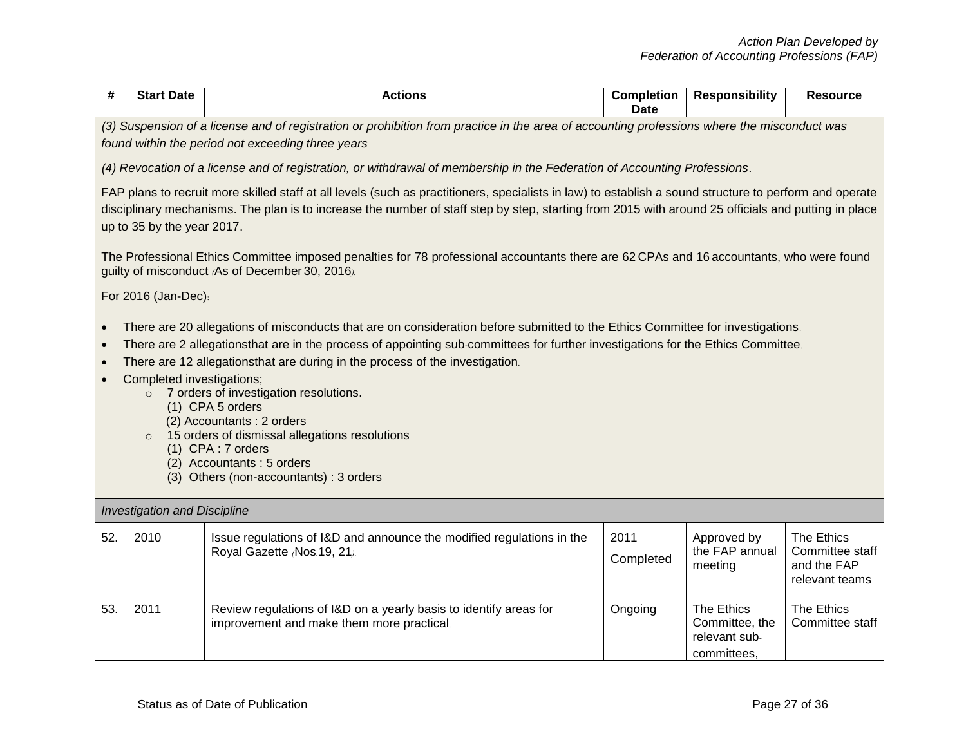| #   | <b>Start Date</b>                                                                                                                                                                                                                                                                                                                                                                                                                                                                                                                                                                                                                               | <b>Actions</b>                                                                                                                                                                                   | <b>Completion</b><br><b>Date</b> | <b>Responsibility</b>                                        | <b>Resource</b>                                                |  |  |
|-----|-------------------------------------------------------------------------------------------------------------------------------------------------------------------------------------------------------------------------------------------------------------------------------------------------------------------------------------------------------------------------------------------------------------------------------------------------------------------------------------------------------------------------------------------------------------------------------------------------------------------------------------------------|--------------------------------------------------------------------------------------------------------------------------------------------------------------------------------------------------|----------------------------------|--------------------------------------------------------------|----------------------------------------------------------------|--|--|
|     |                                                                                                                                                                                                                                                                                                                                                                                                                                                                                                                                                                                                                                                 | (3) Suspension of a license and of registration or prohibition from practice in the area of accounting professions where the misconduct was<br>found within the period not exceeding three years |                                  |                                                              |                                                                |  |  |
|     |                                                                                                                                                                                                                                                                                                                                                                                                                                                                                                                                                                                                                                                 | (4) Revocation of a license and of registration, or withdrawal of membership in the Federation of Accounting Professions.                                                                        |                                  |                                                              |                                                                |  |  |
|     | FAP plans to recruit more skilled staff at all levels (such as practitioners, specialists in law) to establish a sound structure to perform and operate<br>disciplinary mechanisms. The plan is to increase the number of staff step by step, starting from 2015 with around 25 officials and putting in place<br>up to 35 by the year 2017.                                                                                                                                                                                                                                                                                                    |                                                                                                                                                                                                  |                                  |                                                              |                                                                |  |  |
|     |                                                                                                                                                                                                                                                                                                                                                                                                                                                                                                                                                                                                                                                 | The Professional Ethics Committee imposed penalties for 78 professional accountants there are 62 CPAs and 16 accountants, who were found<br>guilty of misconduct (As of December 30, 2016).      |                                  |                                                              |                                                                |  |  |
|     | For 2016 (Jan-Dec):                                                                                                                                                                                                                                                                                                                                                                                                                                                                                                                                                                                                                             |                                                                                                                                                                                                  |                                  |                                                              |                                                                |  |  |
|     | There are 20 allegations of misconducts that are on consideration before submitted to the Ethics Committee for investigations.<br>There are 2 allegationsthat are in the process of appointing sub-committees for further investigations for the Ethics Committee.<br>There are 12 allegationsthat are during in the process of the investigation.<br>Completed investigations;<br>7 orders of investigation resolutions.<br>$\circ$<br>(1) CPA 5 orders<br>(2) Accountants: 2 orders<br>15 orders of dismissal allegations resolutions<br>$\circ$<br>(1) CPA: 7 orders<br>(2) Accountants: 5 orders<br>(3) Others (non-accountants) : 3 orders |                                                                                                                                                                                                  |                                  |                                                              |                                                                |  |  |
|     | <b>Investigation and Discipline</b>                                                                                                                                                                                                                                                                                                                                                                                                                                                                                                                                                                                                             |                                                                                                                                                                                                  |                                  |                                                              |                                                                |  |  |
| 52. | 2010                                                                                                                                                                                                                                                                                                                                                                                                                                                                                                                                                                                                                                            | Issue regulations of I&D and announce the modified regulations in the<br>Royal Gazette (Nos.19, 21).                                                                                             | 2011<br>Completed                | Approved by<br>the FAP annual<br>meeting                     | The Ethics<br>Committee staff<br>and the FAP<br>relevant teams |  |  |
| 53. | 2011                                                                                                                                                                                                                                                                                                                                                                                                                                                                                                                                                                                                                                            | Review regulations of I&D on a yearly basis to identify areas for<br>improvement and make them more practical.                                                                                   | Ongoing                          | The Ethics<br>Committee, the<br>relevant sub-<br>committees, | The Ethics<br>Committee staff                                  |  |  |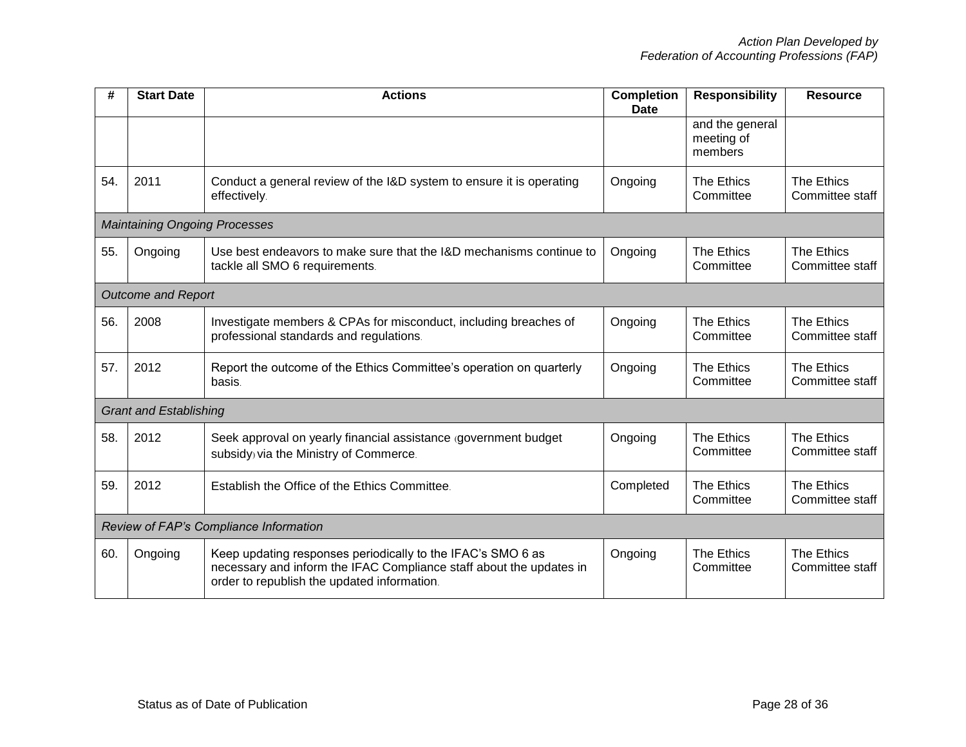| #   | <b>Start Date</b>                      | <b>Actions</b>                                                                                                                                                                    | <b>Completion</b><br><b>Date</b> | <b>Responsibility</b>                    | <b>Resource</b>               |
|-----|----------------------------------------|-----------------------------------------------------------------------------------------------------------------------------------------------------------------------------------|----------------------------------|------------------------------------------|-------------------------------|
|     |                                        |                                                                                                                                                                                   |                                  | and the general<br>meeting of<br>members |                               |
| 54. | 2011                                   | Conduct a general review of the I&D system to ensure it is operating<br>effectively.                                                                                              | Ongoing                          | The Ethics<br>Committee                  | The Ethics<br>Committee staff |
|     | <b>Maintaining Ongoing Processes</b>   |                                                                                                                                                                                   |                                  |                                          |                               |
| 55. | Ongoing                                | Use best endeavors to make sure that the I&D mechanisms continue to<br>tackle all SMO 6 requirements.                                                                             | Ongoing                          | <b>The Ethics</b><br>Committee           | The Ethics<br>Committee staff |
|     | <b>Outcome and Report</b>              |                                                                                                                                                                                   |                                  |                                          |                               |
| 56. | 2008                                   | Investigate members & CPAs for misconduct, including breaches of<br>professional standards and regulations.                                                                       | Ongoing                          | The Ethics<br>Committee                  | The Ethics<br>Committee staff |
| 57. | 2012                                   | Report the outcome of the Ethics Committee's operation on quarterly<br>basis.                                                                                                     | Ongoing                          | The Ethics<br>Committee                  | The Ethics<br>Committee staff |
|     | <b>Grant and Establishing</b>          |                                                                                                                                                                                   |                                  |                                          |                               |
| 58. | 2012                                   | Seek approval on yearly financial assistance (government budget<br>subsidy) via the Ministry of Commerce.                                                                         | Ongoing                          | The Ethics<br>Committee                  | The Ethics<br>Committee staff |
| 59. | 2012                                   | Establish the Office of the Ethics Committee.                                                                                                                                     | Completed                        | <b>The Ethics</b><br>Committee           | The Ethics<br>Committee staff |
|     | Review of FAP's Compliance Information |                                                                                                                                                                                   |                                  |                                          |                               |
| 60. | Ongoing                                | Keep updating responses periodically to the IFAC's SMO 6 as<br>necessary and inform the IFAC Compliance staff about the updates in<br>order to republish the updated information. | Ongoing                          | <b>The Ethics</b><br>Committee           | The Ethics<br>Committee staff |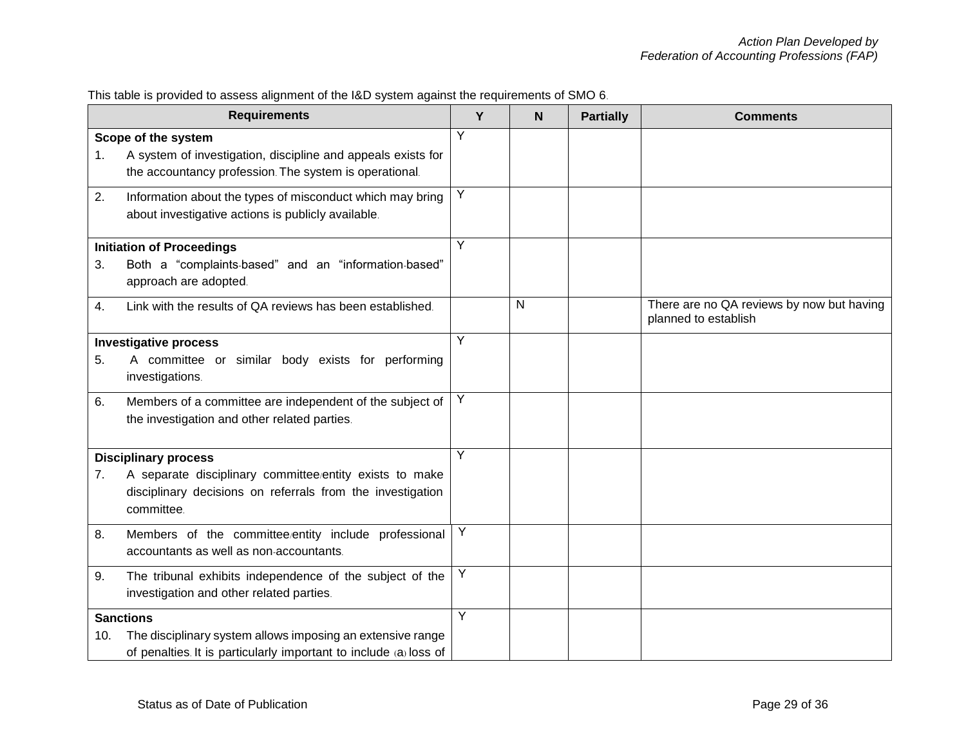|     | <b>Requirements</b>                                                                                                                 | Y | $\mathbf N$ | <b>Partially</b> | <b>Comments</b>                                                   |
|-----|-------------------------------------------------------------------------------------------------------------------------------------|---|-------------|------------------|-------------------------------------------------------------------|
| 1.  | Scope of the system<br>A system of investigation, discipline and appeals exists for                                                 | Y |             |                  |                                                                   |
|     | the accountancy profession. The system is operational.                                                                              |   |             |                  |                                                                   |
| 2.  | Information about the types of misconduct which may bring<br>about investigative actions is publicly available.                     | Y |             |                  |                                                                   |
|     | <b>Initiation of Proceedings</b>                                                                                                    | Y |             |                  |                                                                   |
| 3.  | Both a "complaints-based" and an "information-based"<br>approach are adopted.                                                       |   |             |                  |                                                                   |
| 4.  | Link with the results of QA reviews has been established.                                                                           |   | N           |                  | There are no QA reviews by now but having<br>planned to establish |
|     | <b>Investigative process</b>                                                                                                        | Y |             |                  |                                                                   |
| 5.  | A committee or similar body exists for performing<br>investigations.                                                                |   |             |                  |                                                                   |
| 6.  | Members of a committee are independent of the subject of<br>the investigation and other related parties.                            | Y |             |                  |                                                                   |
|     | <b>Disciplinary process</b>                                                                                                         | Y |             |                  |                                                                   |
| 7.  | A separate disciplinary committee/entity exists to make<br>disciplinary decisions on referrals from the investigation<br>committee. |   |             |                  |                                                                   |
| 8.  | Members of the committee/entity include professional<br>accountants as well as non-accountants.                                     | Y |             |                  |                                                                   |
| 9.  | The tribunal exhibits independence of the subject of the<br>investigation and other related parties.                                | Υ |             |                  |                                                                   |
|     | <b>Sanctions</b>                                                                                                                    | Y |             |                  |                                                                   |
| 10. | The disciplinary system allows imposing an extensive range                                                                          |   |             |                  |                                                                   |
|     | of penalties. It is particularly important to include (a) loss of                                                                   |   |             |                  |                                                                   |

## This table is provided to assess alignment of the I&D system against the requirements of SMO 6.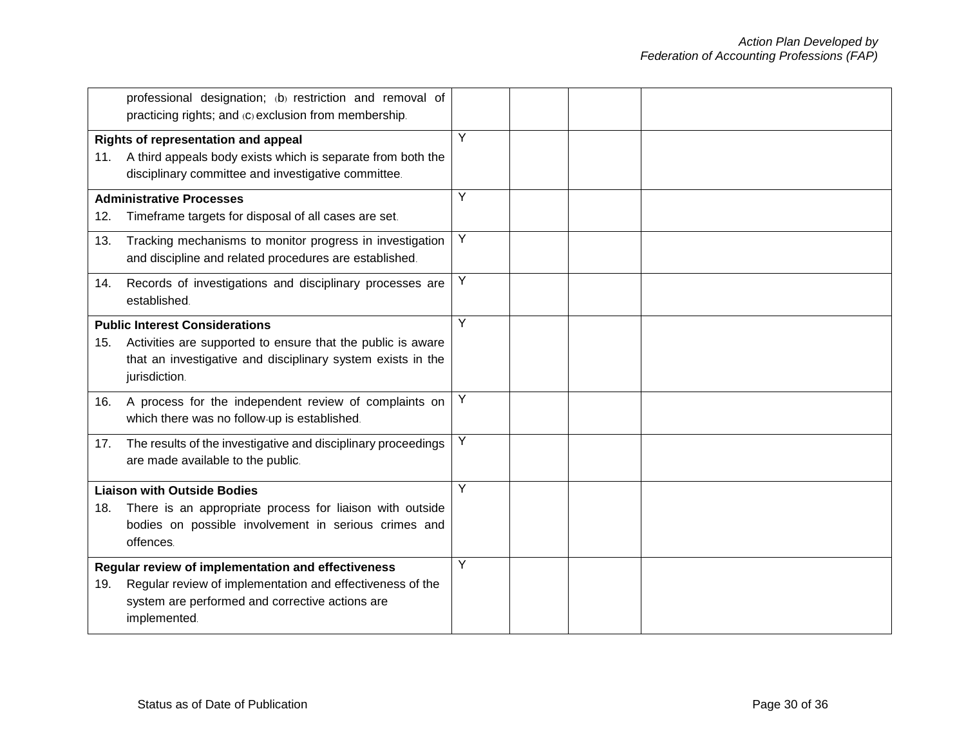|     | professional designation; (b) restriction and removal of<br>practicing rights; and (c) exclusion from membership.                                                                    |   |  |  |
|-----|--------------------------------------------------------------------------------------------------------------------------------------------------------------------------------------|---|--|--|
|     | Rights of representation and appeal<br>11. A third appeals body exists which is separate from both the<br>disciplinary committee and investigative committee.                        | Y |  |  |
| 12. | <b>Administrative Processes</b><br>Timeframe targets for disposal of all cases are set.                                                                                              | Υ |  |  |
| 13. | Tracking mechanisms to monitor progress in investigation<br>and discipline and related procedures are established.                                                                   | Y |  |  |
| 14. | Records of investigations and disciplinary processes are<br>established.                                                                                                             | Υ |  |  |
| 15. | <b>Public Interest Considerations</b><br>Activities are supported to ensure that the public is aware<br>that an investigative and disciplinary system exists in the<br>jurisdiction. | Y |  |  |
| 16. | A process for the independent review of complaints on<br>which there was no follow-up is established.                                                                                | Y |  |  |
| 17. | The results of the investigative and disciplinary proceedings<br>are made available to the public.                                                                                   | Y |  |  |
| 18. | <b>Liaison with Outside Bodies</b><br>There is an appropriate process for liaison with outside<br>bodies on possible involvement in serious crimes and<br>offences.                  | Υ |  |  |
| 19. | Regular review of implementation and effectiveness<br>Regular review of implementation and effectiveness of the<br>system are performed and corrective actions are<br>implemented.   | Y |  |  |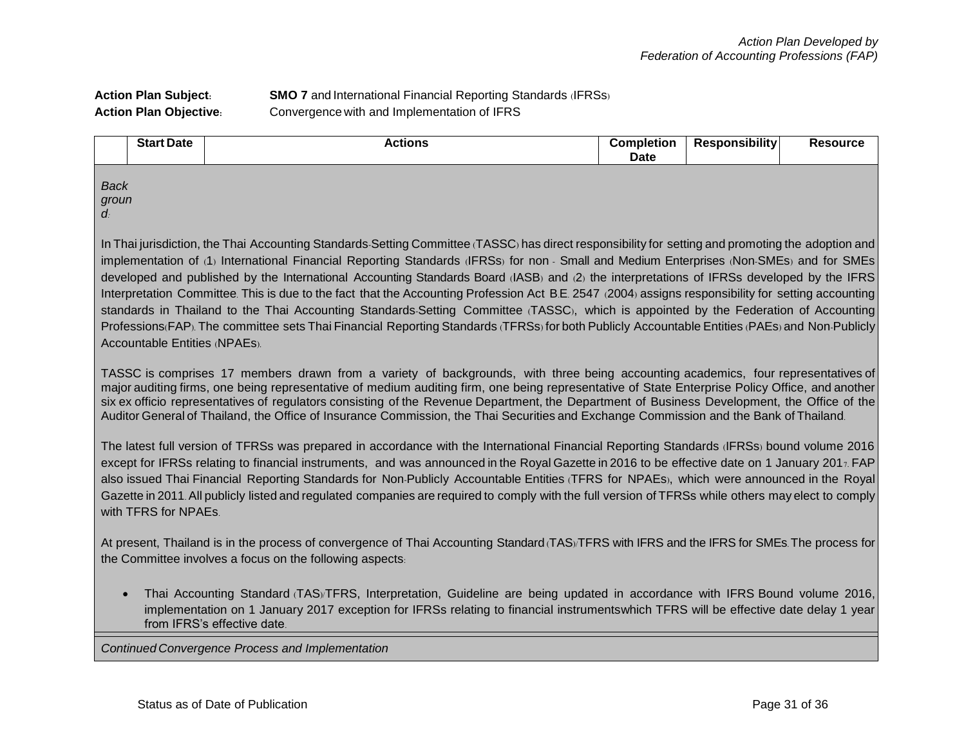#### **Action Plan Subject: SMO 7** and International Financial Reporting Standards (IFRSs) **Action Plan Objective:** Convergence with and Implementation of IFRS

|                                  | <b>Start Date</b>                                                                                                                                  | <b>Actions</b>                                                                                                                           | <b>Completion</b><br><b>Date</b> | <b>Responsibility</b> | <b>Resource</b> |  |  |  |  |
|----------------------------------|----------------------------------------------------------------------------------------------------------------------------------------------------|------------------------------------------------------------------------------------------------------------------------------------------|----------------------------------|-----------------------|-----------------|--|--|--|--|
| <b>Back</b><br>groun<br>$\alpha$ |                                                                                                                                                    |                                                                                                                                          |                                  |                       |                 |  |  |  |  |
|                                  | In Thai jurisdiction, the Thai Accounting Standards-Setting Committee (TASSC) has direct responsibility for setting and promoting the adoption and |                                                                                                                                          |                                  |                       |                 |  |  |  |  |
|                                  |                                                                                                                                                    | implementation of (1) International Financial Reporting Standards (IFRSs) for non - Small and Medium Enterprises (Non-SMEs) and for SMEs |                                  |                       |                 |  |  |  |  |

developed and published by the International Accounting Standards Board (IASB) and (2) the interpretations of IFRSs developed by the IFRS Interpretation Committee. This is due to the fact that the Accounting Profession Act B.E. 2547 (2004) assigns responsibility for setting accounting standards in Thailand to the Thai Accounting Standards-Setting Committee (TASSC), which is appointed by the Federation of Accounting Professions(FAP). The committee sets Thai Financial Reporting Standards (TFRSs) for both Publicly Accountable Entities (PAEs) and Non-Publicly Accountable Entities (NPAEs).

TASSC is comprises 17 members drawn from a variety of backgrounds, with three being accounting academics, four representatives of major auditing firms, one being representative of medium auditing firm, one being representative of State Enterprise Policy Office, and another six ex officio representatives of regulators consisting of the Revenue Department, the Department of Business Development, the Office of the Auditor General of Thailand, the Office of Insurance Commission, the Thai Securities and Exchange Commission and the Bank of Thailand.

The latest full version of TFRSs was prepared in accordance with the International Financial Reporting Standards (IFRSs) bound volume 2016 except for IFRSs relating to financial instruments, and was announced in the Royal Gazette in 2016 to be effective date on 1 January 2017. FAP also issued Thai Financial Reporting Standards for Non-Publicly Accountable Entities (TFRS for NPAEs), which were announced in the Royal Gazette in 2011. All publicly listed and regulated companies are required to comply with the full version of TFRSs while others may elect to comply with TFRS for NPAEs.

At present, Thailand is in the process of convergence of Thai Accounting Standard (TAS)/TFRS with IFRS and the IFRS for SMEs. The process for the Committee involves a focus on the following aspects:

 Thai Accounting Standard (TAS)/TFRS, Interpretation, Guideline are being updated in accordance with IFRS Bound volume 2016, implementation on 1 January 2017 exception for IFRSs relating to financial instrumentswhich TFRS will be effective date delay 1 year from IFRS's effective date.

**Continued Convergence Process and Implementation.**<br> **(A)** *Adoption and implementation* and implementation. Highlight on  $\mathcal{F}_{\mathbf{S}}$  are disseminate and obtain opinions about the TAS, TSIC, T $\mathcal{F}_{\mathbf{S}}$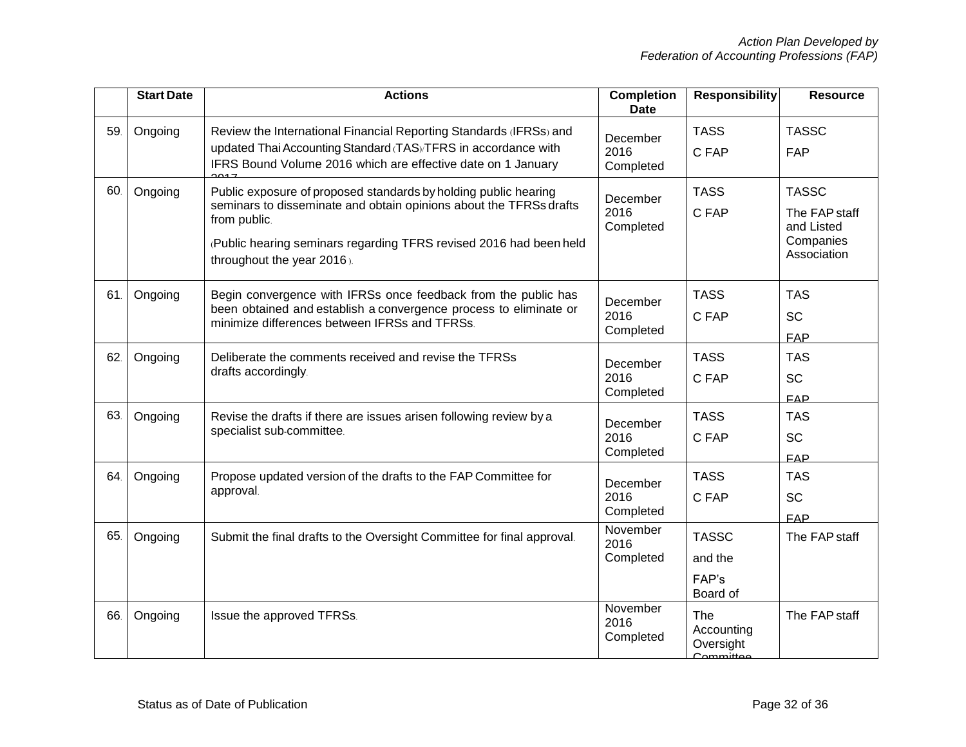|     | <b>Start Date</b> | <b>Actions</b>                                                                                                                 | <b>Completion</b><br><b>Date</b> | <b>Responsibility</b>                                     | <b>Resource</b>             |
|-----|-------------------|--------------------------------------------------------------------------------------------------------------------------------|----------------------------------|-----------------------------------------------------------|-----------------------------|
| 59. | Ongoing           | Review the International Financial Reporting Standards (IFRSs) and                                                             | December                         | <b>TASS</b>                                               | <b>TASSC</b>                |
|     |                   | updated Thai Accounting Standard (TAS)/TFRS in accordance with<br>IFRS Bound Volume 2016 which are effective date on 1 January | 2016<br>Completed                | C FAP                                                     | <b>FAP</b>                  |
| 60. | Ongoing           | Public exposure of proposed standards by holding public hearing<br>December                                                    | <b>TASS</b>                      | <b>TASSC</b>                                              |                             |
|     |                   | seminars to disseminate and obtain opinions about the TFRSs drafts<br>from public.                                             | 2016<br>Completed                | C FAP                                                     | The FAP staff<br>and Listed |
|     |                   | (Public hearing seminars regarding TFRS revised 2016 had been held<br>throughout the year 2016).                               |                                  |                                                           | Companies<br>Association    |
| 61. | Ongoing           | Begin convergence with IFRSs once feedback from the public has                                                                 | December                         | <b>TASS</b>                                               | <b>TAS</b>                  |
|     |                   | been obtained and establish a convergence process to eliminate or<br>minimize differences between IFRSs and TFRSs.             | 2016                             | C FAP                                                     | <b>SC</b>                   |
|     |                   |                                                                                                                                | Completed                        |                                                           | <b>FAP</b>                  |
| 62. | Ongoing           | Deliberate the comments received and revise the TFRSs<br>drafts accordingly.                                                   | December<br>2016                 | <b>TASS</b>                                               | <b>TAS</b>                  |
|     |                   |                                                                                                                                |                                  | C FAP                                                     | <b>SC</b>                   |
|     |                   |                                                                                                                                | Completed                        |                                                           | FAP                         |
| 63. | Ongoing           | Revise the drafts if there are issues arisen following review by a                                                             | December                         | <b>TASS</b>                                               | <b>TAS</b>                  |
|     |                   | specialist sub-committee.                                                                                                      | 2016                             | C FAP                                                     | <b>SC</b>                   |
|     |                   |                                                                                                                                | Completed                        |                                                           | FAP                         |
| 64. | Ongoing           | Propose updated version of the drafts to the FAP Committee for                                                                 | December                         | <b>TASS</b>                                               | <b>TAS</b>                  |
|     |                   | approval.                                                                                                                      | 2016                             | C FAP                                                     | SC                          |
|     |                   |                                                                                                                                | Completed                        |                                                           | <b>FAP</b>                  |
| 65. | Ongoing           | Submit the final drafts to the Oversight Committee for final approval.                                                         | November<br>2016                 | <b>TASSC</b>                                              | The FAP staff               |
|     |                   |                                                                                                                                | Completed                        | and the                                                   |                             |
|     |                   |                                                                                                                                |                                  | FAP's<br>Board of                                         |                             |
| 66. | Ongoing           | Issue the approved TFRSs.                                                                                                      | November<br>2016<br>Completed    | The<br>Accounting<br>Oversight<br>Common <sub>ittoo</sub> | The FAP staff               |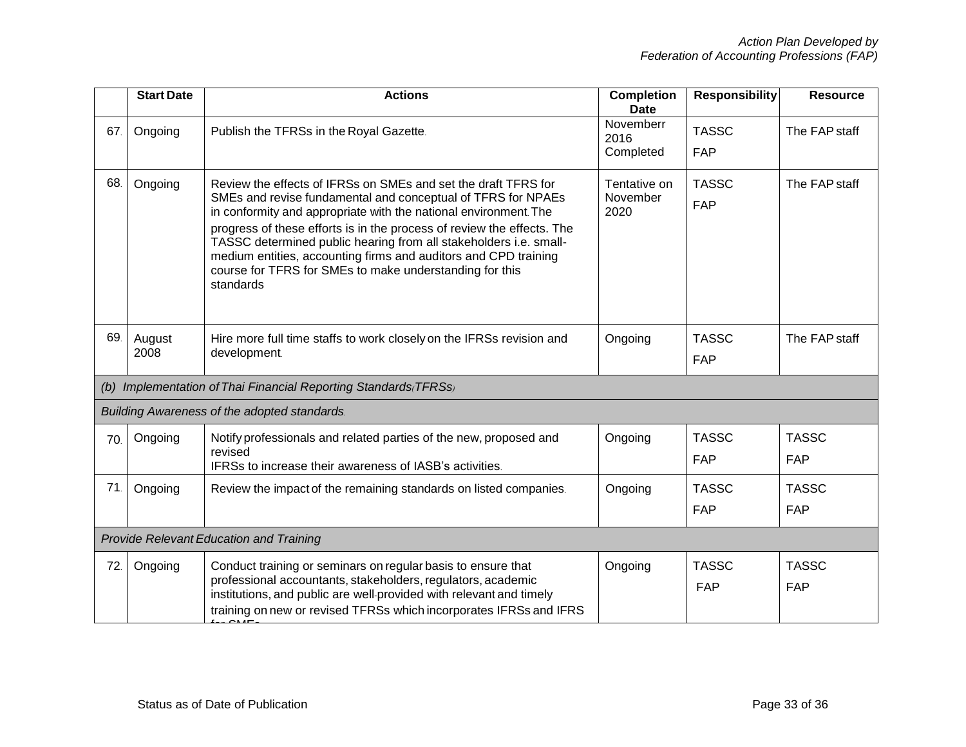|     | <b>Start Date</b>                       | <b>Actions</b>                                                                                                                                                                                                                                                                                                                                                                                                                                                                               | <b>Completion</b><br><b>Date</b> | <b>Responsibility</b>      | <b>Resource</b>            |  |  |
|-----|-----------------------------------------|----------------------------------------------------------------------------------------------------------------------------------------------------------------------------------------------------------------------------------------------------------------------------------------------------------------------------------------------------------------------------------------------------------------------------------------------------------------------------------------------|----------------------------------|----------------------------|----------------------------|--|--|
| 67. | Ongoing                                 | Publish the TFRSs in the Royal Gazette.                                                                                                                                                                                                                                                                                                                                                                                                                                                      | Novemberr<br>2016<br>Completed   | <b>TASSC</b><br><b>FAP</b> | The FAP staff              |  |  |
| 68. | Ongoing                                 | Review the effects of IFRSs on SMEs and set the draft TFRS for<br>SMEs and revise fundamental and conceptual of TFRS for NPAEs<br>in conformity and appropriate with the national environment. The<br>progress of these efforts is in the process of review the effects. The<br>TASSC determined public hearing from all stakeholders i.e. small-<br>medium entities, accounting firms and auditors and CPD training<br>course for TFRS for SMEs to make understanding for this<br>standards | Tentative on<br>November<br>2020 | <b>TASSC</b><br>FAP        | The FAP staff              |  |  |
| 69. | August<br>2008                          | Hire more full time staffs to work closely on the IFRSs revision and<br>development.                                                                                                                                                                                                                                                                                                                                                                                                         | Ongoing                          | <b>TASSC</b><br><b>FAP</b> | The FAP staff              |  |  |
|     |                                         | (b) Implementation of Thai Financial Reporting Standards (TFRSs)                                                                                                                                                                                                                                                                                                                                                                                                                             |                                  |                            |                            |  |  |
|     |                                         | Building Awareness of the adopted standards.                                                                                                                                                                                                                                                                                                                                                                                                                                                 |                                  |                            |                            |  |  |
| 70. | Ongoing                                 | Notify professionals and related parties of the new, proposed and<br>revised<br>IFRSs to increase their awareness of IASB's activities.                                                                                                                                                                                                                                                                                                                                                      | Ongoing                          | <b>TASSC</b><br><b>FAP</b> | <b>TASSC</b><br><b>FAP</b> |  |  |
| 71. | Ongoing                                 | Review the impact of the remaining standards on listed companies.                                                                                                                                                                                                                                                                                                                                                                                                                            | Ongoing                          | <b>TASSC</b><br><b>FAP</b> | <b>TASSC</b><br>FAP        |  |  |
|     | Provide Relevant Education and Training |                                                                                                                                                                                                                                                                                                                                                                                                                                                                                              |                                  |                            |                            |  |  |
| 72. | Ongoing                                 | Conduct training or seminars on regular basis to ensure that<br>professional accountants, stakeholders, regulators, academic<br>institutions, and public are well-provided with relevant and timely<br>training on new or revised TFRSs which incorporates IFRSs and IFRS                                                                                                                                                                                                                    | Ongoing                          | <b>TASSC</b><br><b>FAP</b> | <b>TASSC</b><br>FAP        |  |  |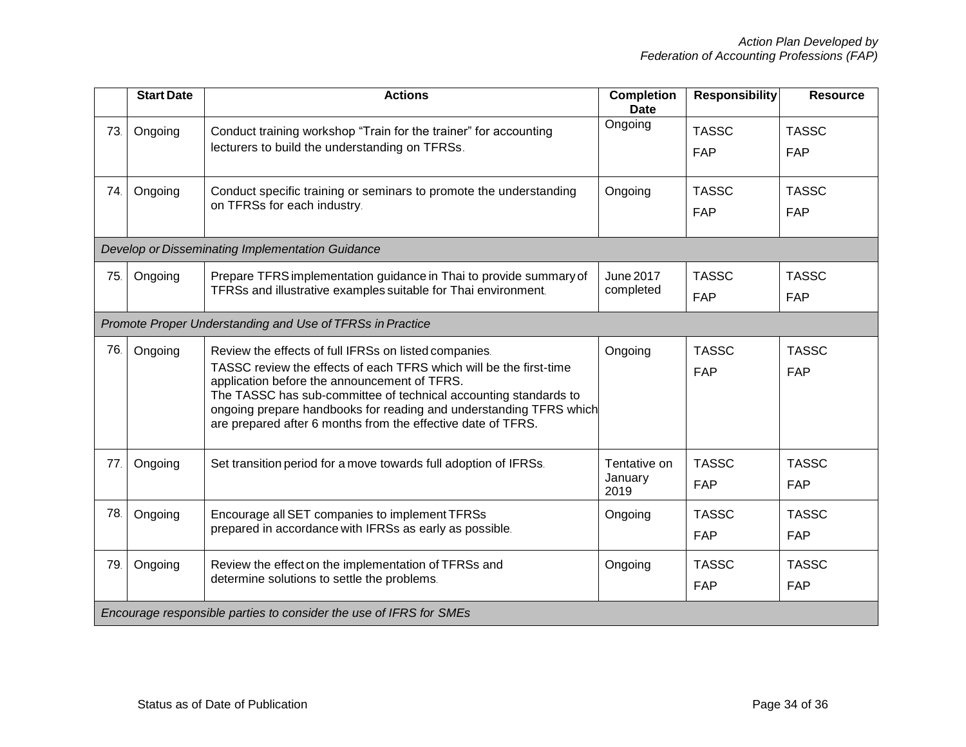|     | <b>Start Date</b> | <b>Actions</b>                                                                                                                                                                                                                                                                                                                                                                        | <b>Completion</b><br><b>Date</b> | <b>Responsibility</b>      | <b>Resource</b>            |
|-----|-------------------|---------------------------------------------------------------------------------------------------------------------------------------------------------------------------------------------------------------------------------------------------------------------------------------------------------------------------------------------------------------------------------------|----------------------------------|----------------------------|----------------------------|
| 73. | Ongoing           | Conduct training workshop "Train for the trainer" for accounting<br>lecturers to build the understanding on TFRSs.                                                                                                                                                                                                                                                                    | Ongoing                          | <b>TASSC</b><br><b>FAP</b> | <b>TASSC</b><br><b>FAP</b> |
| 74. | Ongoing           | Conduct specific training or seminars to promote the understanding<br>on TFRSs for each industry.                                                                                                                                                                                                                                                                                     | Ongoing                          | <b>TASSC</b><br><b>FAP</b> | <b>TASSC</b><br><b>FAP</b> |
|     |                   | Develop or Disseminating Implementation Guidance                                                                                                                                                                                                                                                                                                                                      |                                  |                            |                            |
| 75. | Ongoing           | Prepare TFRS implementation guidance in Thai to provide summary of<br>TFRSs and illustrative examples suitable for Thai environment.                                                                                                                                                                                                                                                  | <b>June 2017</b><br>completed    | <b>TASSC</b><br><b>FAP</b> | <b>TASSC</b><br><b>FAP</b> |
|     |                   | Promote Proper Understanding and Use of TFRSs in Practice                                                                                                                                                                                                                                                                                                                             |                                  |                            |                            |
| 76. | Ongoing           | Review the effects of full IFRSs on listed companies.<br>TASSC review the effects of each TFRS which will be the first-time<br>application before the announcement of TFRS.<br>The TASSC has sub-committee of technical accounting standards to<br>ongoing prepare handbooks for reading and understanding TFRS which<br>are prepared after 6 months from the effective date of TFRS. | Ongoing                          | <b>TASSC</b><br><b>FAP</b> | <b>TASSC</b><br><b>FAP</b> |
| 77. | Ongoing           | Set transition period for a move towards full adoption of IFRSs.                                                                                                                                                                                                                                                                                                                      | Tentative on<br>January<br>2019  | <b>TASSC</b><br><b>FAP</b> | <b>TASSC</b><br><b>FAP</b> |
| 78. | Ongoing           | Encourage all SET companies to implement TFRSs<br>prepared in accordance with IFRSs as early as possible.                                                                                                                                                                                                                                                                             | Ongoing                          | <b>TASSC</b><br><b>FAP</b> | <b>TASSC</b><br><b>FAP</b> |
| 79. | Ongoing           | Review the effect on the implementation of TFRSs and<br>determine solutions to settle the problems.                                                                                                                                                                                                                                                                                   | Ongoing                          | <b>TASSC</b><br><b>FAP</b> | <b>TASSC</b><br><b>FAP</b> |
|     |                   | Encourage responsible parties to consider the use of IFRS for SMEs                                                                                                                                                                                                                                                                                                                    |                                  |                            |                            |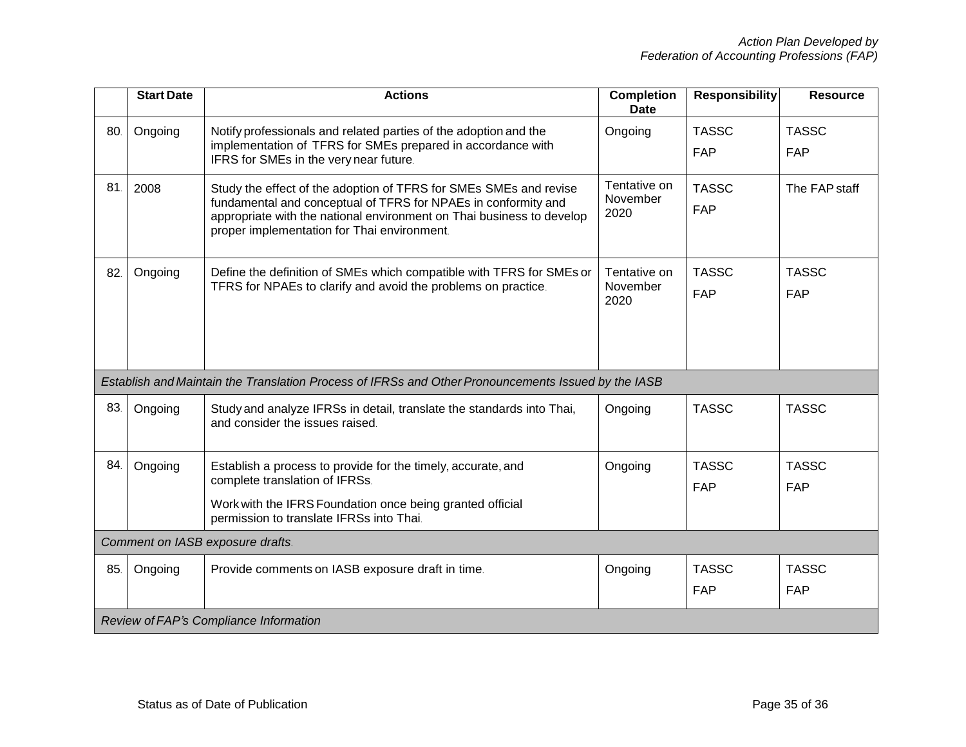|     | <b>Start Date</b>                | <b>Actions</b>                                                                                                                                                                                                                                              | <b>Completion</b><br><b>Date</b> | <b>Responsibility</b>      | <b>Resource</b>            |  |  |
|-----|----------------------------------|-------------------------------------------------------------------------------------------------------------------------------------------------------------------------------------------------------------------------------------------------------------|----------------------------------|----------------------------|----------------------------|--|--|
| 80. | Ongoing                          | Notify professionals and related parties of the adoption and the<br>implementation of TFRS for SMEs prepared in accordance with<br>IFRS for SMEs in the very near future.                                                                                   | Ongoing                          | <b>TASSC</b><br><b>FAP</b> | <b>TASSC</b><br><b>FAP</b> |  |  |
| 81. | 2008                             | Study the effect of the adoption of TFRS for SMEs SMEs and revise<br>fundamental and conceptual of TFRS for NPAEs in conformity and<br>appropriate with the national environment on Thai business to develop<br>proper implementation for Thai environment. | Tentative on<br>November<br>2020 | <b>TASSC</b><br><b>FAP</b> | The FAP staff              |  |  |
| 82. | Ongoing                          | Define the definition of SMEs which compatible with TFRS for SMEs or<br>TFRS for NPAEs to clarify and avoid the problems on practice.                                                                                                                       | Tentative on<br>November<br>2020 | <b>TASSC</b><br><b>FAP</b> | <b>TASSC</b><br><b>FAP</b> |  |  |
|     |                                  | Establish and Maintain the Translation Process of IFRSs and Other Pronouncements Issued by the IASB                                                                                                                                                         |                                  |                            |                            |  |  |
| 83. | Ongoing                          | Study and analyze IFRSs in detail, translate the standards into Thai,<br>and consider the issues raised.                                                                                                                                                    | Ongoing                          | <b>TASSC</b>               | <b>TASSC</b>               |  |  |
| 84. | Ongoing                          | Establish a process to provide for the timely, accurate, and<br>complete translation of IFRSs.<br>Work with the IFRS Foundation once being granted official<br>permission to translate IFRSs into Thai.                                                     | Ongoing                          | <b>TASSC</b><br><b>FAP</b> | <b>TASSC</b><br><b>FAP</b> |  |  |
|     | Comment on IASB exposure drafts. |                                                                                                                                                                                                                                                             |                                  |                            |                            |  |  |
| 85. | Ongoing                          | Provide comments on IASB exposure draft in time.                                                                                                                                                                                                            | Ongoing                          | <b>TASSC</b><br><b>FAP</b> | <b>TASSC</b><br><b>FAP</b> |  |  |
|     |                                  | Review of FAP's Compliance Information                                                                                                                                                                                                                      |                                  |                            |                            |  |  |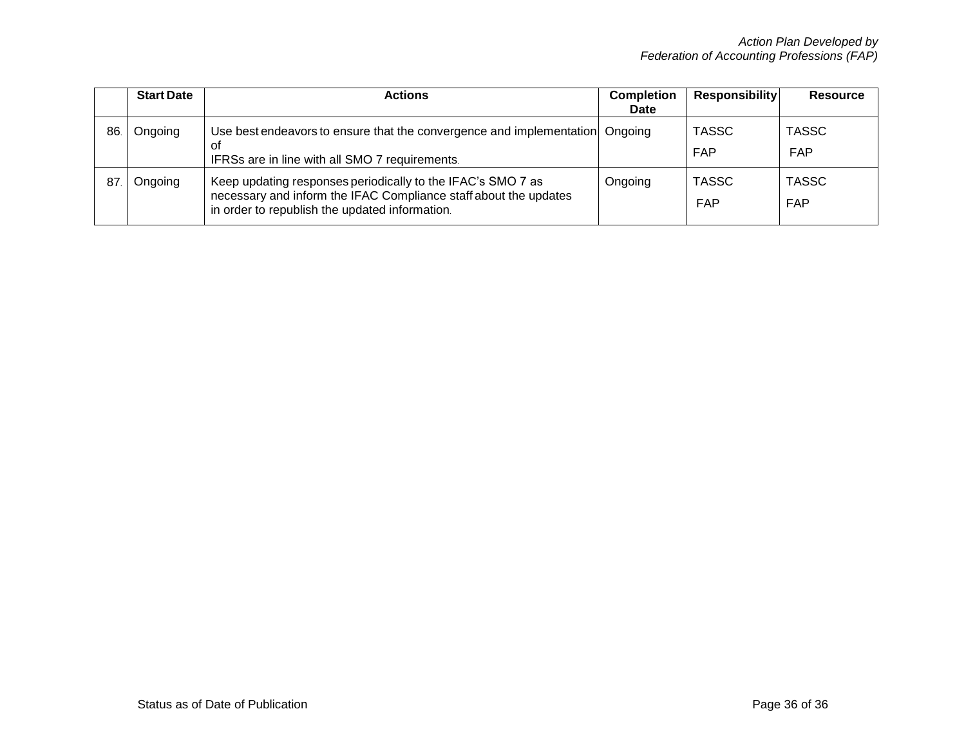|     | <b>Start Date</b> | <b>Actions</b>                                                                                                                                                                    | <b>Completion</b><br><b>Date</b> | <b>Responsibility</b>      | <b>Resource</b>            |
|-----|-------------------|-----------------------------------------------------------------------------------------------------------------------------------------------------------------------------------|----------------------------------|----------------------------|----------------------------|
| 86. | Ongoing           | Use best endeavors to ensure that the convergence and implementation Ongoing<br>οf<br>IFRSs are in line with all SMO 7 requirements.                                              |                                  | <b>TASSC</b><br><b>FAP</b> | <b>TASSC</b><br><b>FAP</b> |
| 87  | Ongoing           | Keep updating responses periodically to the IFAC's SMO 7 as<br>necessary and inform the IFAC Compliance staff about the updates<br>in order to republish the updated information. | Ongoing                          | <b>TASSC</b><br>FAP        | <b>TASSC</b><br><b>FAP</b> |